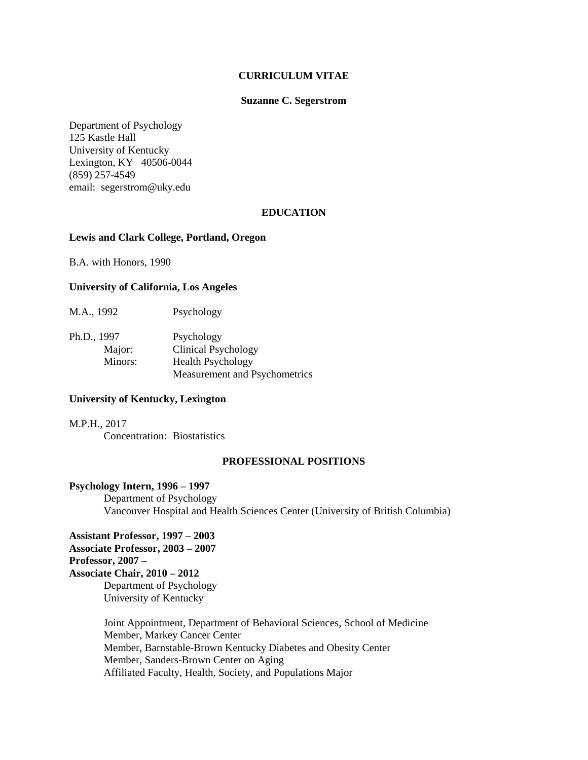#### **CURRICULUM VITAE**

#### **Suzanne C. Segerstrom**

Department of Psychology 125 Kastle Hall University of Kentucky Lexington, KY 40506-0044 (859) 257-4549 email: segerstrom@uky.edu

#### **EDUCATION**

#### **Lewis and Clark College, Portland, Oregon**

B.A. with Honors, 1990

## **University of California, Los Angeles**

M.A., 1992 Psychology

Ph.D., 1997 Psychology Major: Clinical Psychology Minors: Health Psychology Measurement and Psychometrics

# **University of Kentucky, Lexington**

M.P.H., 2017 Concentration: Biostatistics

#### **PROFESSIONAL POSITIONS**

#### **Psychology Intern, 1996 – 1997**

Department of Psychology Vancouver Hospital and Health Sciences Center (University of British Columbia)

**Assistant Professor, 1997 – 2003 Associate Professor, 2003 – 2007 Professor, 2007 – Associate Chair, 2010 – 2012**  Department of Psychology University of Kentucky

> Joint Appointment, Department of Behavioral Sciences, School of Medicine Member, Markey Cancer Center Member, Barnstable-Brown Kentucky Diabetes and Obesity Center Member, Sanders-Brown Center on Aging Affiliated Faculty, Health, Society, and Populations Major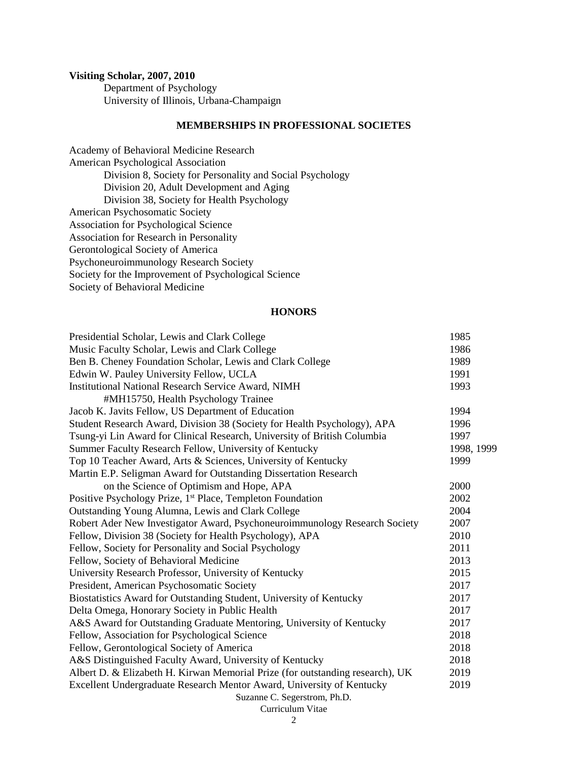# **Visiting Scholar, 2007, 2010**

Department of Psychology University of Illinois, Urbana-Champaign

# **MEMBERSHIPS IN PROFESSIONAL SOCIETES**

Academy of Behavioral Medicine Research American Psychological Association Division 8, Society for Personality and Social Psychology Division 20, Adult Development and Aging Division 38, Society for Health Psychology American Psychosomatic Society Association for Psychological Science Association for Research in Personality Gerontological Society of America Psychoneuroimmunology Research Society Society for the Improvement of Psychological Science Society of Behavioral Medicine

# **HONORS**

| Presidential Scholar, Lewis and Clark College                                 | 1985       |
|-------------------------------------------------------------------------------|------------|
| Music Faculty Scholar, Lewis and Clark College                                | 1986       |
| Ben B. Cheney Foundation Scholar, Lewis and Clark College                     | 1989       |
| Edwin W. Pauley University Fellow, UCLA                                       | 1991       |
| <b>Institutional National Research Service Award, NIMH</b>                    | 1993       |
| #MH15750, Health Psychology Trainee                                           |            |
| Jacob K. Javits Fellow, US Department of Education                            | 1994       |
| Student Research Award, Division 38 (Society for Health Psychology), APA      | 1996       |
| Tsung-yi Lin Award for Clinical Research, University of British Columbia      | 1997       |
| Summer Faculty Research Fellow, University of Kentucky                        | 1998, 1999 |
| Top 10 Teacher Award, Arts & Sciences, University of Kentucky                 | 1999       |
| Martin E.P. Seligman Award for Outstanding Dissertation Research              |            |
| on the Science of Optimism and Hope, APA                                      | 2000       |
| Positive Psychology Prize, 1 <sup>st</sup> Place, Templeton Foundation        | 2002       |
| Outstanding Young Alumna, Lewis and Clark College                             | 2004       |
| Robert Ader New Investigator Award, Psychoneuroimmunology Research Society    | 2007       |
| Fellow, Division 38 (Society for Health Psychology), APA                      | 2010       |
| Fellow, Society for Personality and Social Psychology                         | 2011       |
| Fellow, Society of Behavioral Medicine                                        | 2013       |
| University Research Professor, University of Kentucky                         | 2015       |
| President, American Psychosomatic Society                                     | 2017       |
| Biostatistics Award for Outstanding Student, University of Kentucky           | 2017       |
| Delta Omega, Honorary Society in Public Health                                | 2017       |
| A&S Award for Outstanding Graduate Mentoring, University of Kentucky          | 2017       |
| Fellow, Association for Psychological Science                                 | 2018       |
| Fellow, Gerontological Society of America                                     | 2018       |
| A&S Distinguished Faculty Award, University of Kentucky                       | 2018       |
| Albert D. & Elizabeth H. Kirwan Memorial Prize (for outstanding research), UK | 2019       |
| Excellent Undergraduate Research Mentor Award, University of Kentucky         | 2019       |
| Suzanne C. Segerstrom, Ph.D.                                                  |            |
| Curriculum Vitae                                                              |            |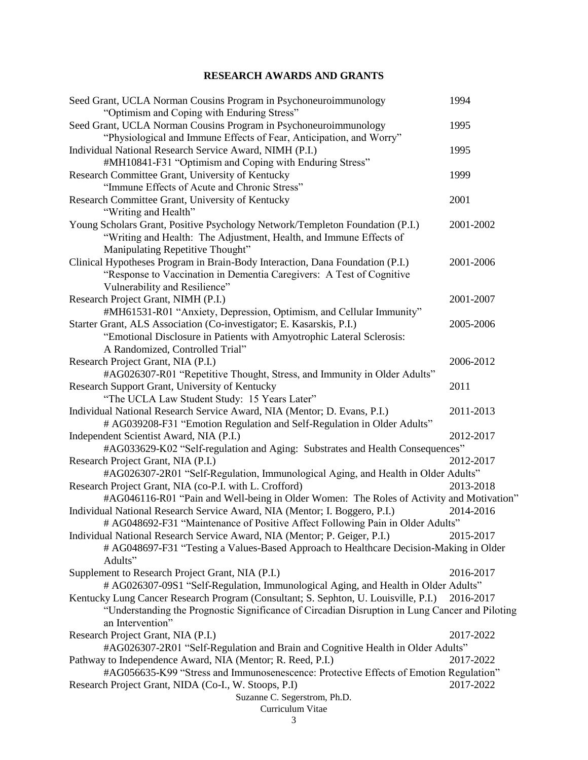# **RESEARCH AWARDS AND GRANTS**

| Seed Grant, UCLA Norman Cousins Program in Psychoneuroimmunology<br>"Optimism and Coping with Enduring Stress"                                                                                                                         | 1994      |
|----------------------------------------------------------------------------------------------------------------------------------------------------------------------------------------------------------------------------------------|-----------|
| Seed Grant, UCLA Norman Cousins Program in Psychoneuroimmunology<br>"Physiological and Immune Effects of Fear, Anticipation, and Worry"                                                                                                | 1995      |
| Individual National Research Service Award, NIMH (P.I.)<br>#MH10841-F31 "Optimism and Coping with Enduring Stress"                                                                                                                     | 1995      |
| Research Committee Grant, University of Kentucky<br>"Immune Effects of Acute and Chronic Stress"                                                                                                                                       | 1999      |
| Research Committee Grant, University of Kentucky<br>"Writing and Health"                                                                                                                                                               | 2001      |
| Young Scholars Grant, Positive Psychology Network/Templeton Foundation (P.I.)<br>"Writing and Health: The Adjustment, Health, and Immune Effects of<br>Manipulating Repetitive Thought"                                                | 2001-2002 |
| Clinical Hypotheses Program in Brain-Body Interaction, Dana Foundation (P.I.)<br>"Response to Vaccination in Dementia Caregivers: A Test of Cognitive<br>Vulnerability and Resilience"                                                 | 2001-2006 |
| Research Project Grant, NIMH (P.I.)<br>#MH61531-R01 "Anxiety, Depression, Optimism, and Cellular Immunity"                                                                                                                             | 2001-2007 |
| Starter Grant, ALS Association (Co-investigator; E. Kasarskis, P.I.)<br>"Emotional Disclosure in Patients with Amyotrophic Lateral Sclerosis:<br>A Randomized, Controlled Trial"                                                       | 2005-2006 |
| Research Project Grant, NIA (P.I.)<br>#AG026307-R01 "Repetitive Thought, Stress, and Immunity in Older Adults"                                                                                                                         | 2006-2012 |
| Research Support Grant, University of Kentucky<br>"The UCLA Law Student Study: 15 Years Later"                                                                                                                                         | 2011      |
| Individual National Research Service Award, NIA (Mentor; D. Evans, P.I.)<br># AG039208-F31 "Emotion Regulation and Self-Regulation in Older Adults"                                                                                    | 2011-2013 |
| Independent Scientist Award, NIA (P.I.)<br>#AG033629-K02 "Self-regulation and Aging: Substrates and Health Consequences"                                                                                                               | 2012-2017 |
| Research Project Grant, NIA (P.I.)<br>#AG026307-2R01 "Self-Regulation, Immunological Aging, and Health in Older Adults"                                                                                                                | 2012-2017 |
| Research Project Grant, NIA (co-P.I. with L. Crofford)<br>#AG046116-R01 "Pain and Well-being in Older Women: The Roles of Activity and Motivation"                                                                                     | 2013-2018 |
| Individual National Research Service Award, NIA (Mentor; I. Boggero, P.I.)<br># AG048692-F31 "Maintenance of Positive Affect Following Pain in Older Adults"                                                                           | 2014-2016 |
| Individual National Research Service Award, NIA (Mentor; P. Geiger, P.I.)<br># AG048697-F31 "Testing a Values-Based Approach to Healthcare Decision-Making in Older<br>Adults"                                                         | 2015-2017 |
| Supplement to Research Project Grant, NIA (P.I.)<br># AG026307-09S1 "Self-Regulation, Immunological Aging, and Health in Older Adults"                                                                                                 | 2016-2017 |
| Kentucky Lung Cancer Research Program (Consultant; S. Sephton, U. Louisville, P.I.)<br>"Understanding the Prognostic Significance of Circadian Disruption in Lung Cancer and Piloting<br>an Intervention"                              | 2016-2017 |
| Research Project Grant, NIA (P.I.)                                                                                                                                                                                                     | 2017-2022 |
| #AG026307-2R01 "Self-Regulation and Brain and Cognitive Health in Older Adults"<br>Pathway to Independence Award, NIA (Mentor; R. Reed, P.I.)<br>#AG056635-K99 "Stress and Immunosenescence: Protective Effects of Emotion Regulation" | 2017-2022 |
| Research Project Grant, NIDA (Co-I., W. Stoops, P.I)<br>Suzanne C. Segerstrom, Ph.D.                                                                                                                                                   | 2017-2022 |
| Curriculum Vitae                                                                                                                                                                                                                       |           |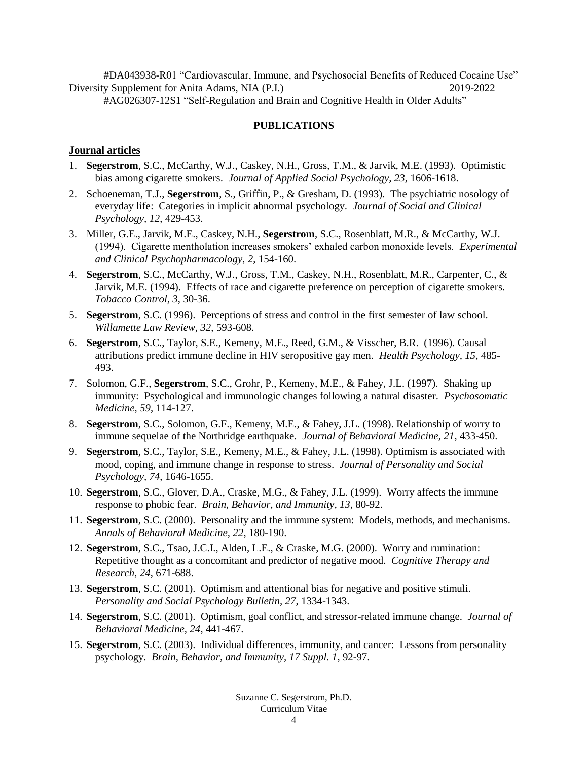#DA043938-R01 "Cardiovascular, Immune, and Psychosocial Benefits of Reduced Cocaine Use" Diversity Supplement for Anita Adams, NIA (P.I.) 2019-2022 #AG026307-12S1 "Self-Regulation and Brain and Cognitive Health in Older Adults"

# **PUBLICATIONS**

# **Journal articles**

- 1. **Segerstrom**, S.C., McCarthy, W.J., Caskey, N.H., Gross, T.M., & Jarvik, M.E. (1993). Optimistic bias among cigarette smokers. *Journal of Applied Social Psychology, 23*, 1606-1618.
- 2. Schoeneman, T.J., **Segerstrom**, S., Griffin, P., & Gresham, D. (1993). The psychiatric nosology of everyday life: Categories in implicit abnormal psychology. *Journal of Social and Clinical Psychology, 12*, 429-453.
- 3. Miller, G.E., Jarvik, M.E., Caskey, N.H., **Segerstrom**, S.C., Rosenblatt, M.R., & McCarthy, W.J. (1994). Cigarette mentholation increases smokers' exhaled carbon monoxide levels. *Experimental and Clinical Psychopharmacology, 2*, 154-160.
- 4. **Segerstrom**, S.C., McCarthy, W.J., Gross, T.M., Caskey, N.H., Rosenblatt, M.R., Carpenter, C., & Jarvik, M.E. (1994). Effects of race and cigarette preference on perception of cigarette smokers. *Tobacco Control, 3*, 30-36.
- 5. **Segerstrom**, S.C. (1996). Perceptions of stress and control in the first semester of law school. *Willamette Law Review, 32*, 593-608.
- 6. **Segerstrom**, S.C., Taylor, S.E., Kemeny, M.E., Reed, G.M., & Visscher, B.R. (1996). Causal attributions predict immune decline in HIV seropositive gay men. *Health Psychology, 15*, 485- 493.
- 7. Solomon, G.F., **Segerstrom**, S.C., Grohr, P., Kemeny, M.E., & Fahey, J.L. (1997). Shaking up immunity: Psychological and immunologic changes following a natural disaster. *Psychosomatic Medicine, 59*, 114-127.
- 8. **Segerstrom**, S.C., Solomon, G.F., Kemeny, M.E., & Fahey, J.L. (1998). Relationship of worry to immune sequelae of the Northridge earthquake. *Journal of Behavioral Medicine, 21*, 433-450.
- 9. **Segerstrom**, S.C., Taylor, S.E., Kemeny, M.E., & Fahey, J.L. (1998). Optimism is associated with mood, coping, and immune change in response to stress. *Journal of Personality and Social Psychology, 74*, 1646-1655.
- 10. **Segerstrom**, S.C., Glover, D.A., Craske, M.G., & Fahey, J.L. (1999). Worry affects the immune response to phobic fear. *Brain, Behavior, and Immunity, 13*, 80-92.
- 11. **Segerstrom**, S.C. (2000). Personality and the immune system: Models, methods, and mechanisms. *Annals of Behavioral Medicine, 22*, 180-190.
- 12. **Segerstrom**, S.C., Tsao, J.C.I., Alden, L.E., & Craske, M.G. (2000). Worry and rumination: Repetitive thought as a concomitant and predictor of negative mood. *Cognitive Therapy and Research, 24*, 671-688.
- 13. **Segerstrom**, S.C. (2001). Optimism and attentional bias for negative and positive stimuli. *Personality and Social Psychology Bulletin, 27*, 1334-1343.
- 14. **Segerstrom**, S.C. (2001). Optimism, goal conflict, and stressor-related immune change. *Journal of Behavioral Medicine, 24*, 441-467.
- 15. **Segerstrom**, S.C. (2003). Individual differences, immunity, and cancer: Lessons from personality psychology. *Brain, Behavior, and Immunity, 17 Suppl. 1*, 92-97.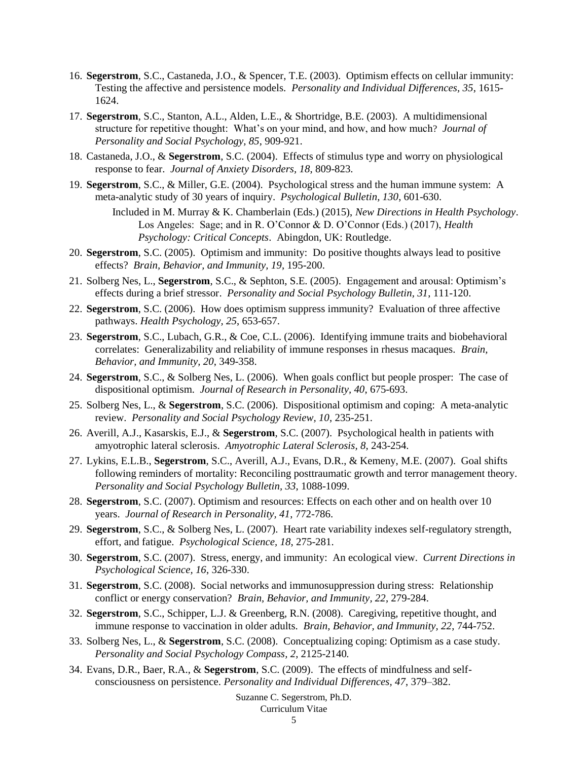- 16. **Segerstrom**, S.C., Castaneda, J.O., & Spencer, T.E. (2003). Optimism effects on cellular immunity: Testing the affective and persistence models. *Personality and Individual Differences, 35*, 1615- 1624.
- 17. **Segerstrom**, S.C., Stanton, A.L., Alden, L.E., & Shortridge, B.E. (2003). A multidimensional structure for repetitive thought: What's on your mind, and how, and how much? *Journal of Personality and Social Psychology, 85*, 909-921.
- 18. Castaneda, J.O., & **Segerstrom**, S.C. (2004). Effects of stimulus type and worry on physiological response to fear. *Journal of Anxiety Disorders, 18*, 809-823.
- 19. **Segerstrom**, S.C., & Miller, G.E. (2004). Psychological stress and the human immune system: A meta-analytic study of 30 years of inquiry. *Psychological Bulletin, 130*, 601-630.
	- Included in M. Murray & K. Chamberlain (Eds.) (2015), *New Directions in Health Psychology*. Los Angeles: Sage; and in R. O'Connor & D. O'Connor (Eds.) (2017), *Health Psychology: Critical Concepts*. Abingdon, UK: Routledge.
- 20. **Segerstrom**, S.C. (2005). Optimism and immunity: Do positive thoughts always lead to positive effects? *Brain, Behavior, and Immunity, 19*, 195-200.
- 21. Solberg Nes, L., **Segerstrom**, S.C., & Sephton, S.E. (2005). Engagement and arousal: Optimism's effects during a brief stressor. *Personality and Social Psychology Bulletin, 31*, 111-120.
- 22. **Segerstrom**, S.C. (2006). How does optimism suppress immunity? Evaluation of three affective pathways. *Health Psychology, 25*, 653-657.
- 23. **Segerstrom**, S.C., Lubach, G.R., & Coe, C.L. (2006). Identifying immune traits and biobehavioral correlates: Generalizability and reliability of immune responses in rhesus macaques. *Brain, Behavior, and Immunity, 20*, 349-358.
- 24. **Segerstrom**, S.C., & Solberg Nes, L. (2006). When goals conflict but people prosper: The case of dispositional optimism. *Journal of Research in Personality, 40*, 675-693.
- 25. Solberg Nes, L., & **Segerstrom**, S.C. (2006). Dispositional optimism and coping: A meta-analytic review. *Personality and Social Psychology Review, 10*, 235-251.
- 26. Averill, A.J., Kasarskis, E.J., & **Segerstrom**, S.C. (2007). Psychological health in patients with amyotrophic lateral sclerosis. *Amyotrophic Lateral Sclerosis, 8*, 243-254.
- 27. Lykins, E.L.B., **Segerstrom**, S.C., Averill, A.J., Evans, D.R., & Kemeny, M.E. (2007). Goal shifts following reminders of mortality: Reconciling posttraumatic growth and terror management theory. *Personality and Social Psychology Bulletin, 33*, 1088-1099.
- 28. **Segerstrom**, S.C. (2007). Optimism and resources: Effects on each other and on health over 10 years. *Journal of Research in Personality, 41*, 772-786.
- 29. **Segerstrom**, S.C., & Solberg Nes, L. (2007). Heart rate variability indexes self-regulatory strength, effort, and fatigue. *Psychological Science, 18*, 275-281.
- 30. **Segerstrom**, S.C. (2007). Stress, energy, and immunity: An ecological view. *Current Directions in Psychological Science, 16*, 326-330.
- 31. **Segerstrom**, S.C. (2008). Social networks and immunosuppression during stress: Relationship conflict or energy conservation? *Brain, Behavior, and Immunity, 22*, 279-284.
- 32. **Segerstrom**, S.C., Schipper, L.J. & Greenberg, R.N. (2008). Caregiving, repetitive thought, and immune response to vaccination in older adults. *Brain, Behavior, and Immunity, 22*, 744-752.
- 33. Solberg Nes, L., & **Segerstrom**, S.C. (2008). Conceptualizing coping: Optimism as a case study. *Personality and Social Psychology Compass, 2*, 2125-2140*.*
- 34. Evans, D.R., Baer, R.A., & **Segerstrom**, S.C. (2009). The effects of mindfulness and selfconsciousness on persistence. *Personality and Individual Differences, 47*, 379–382.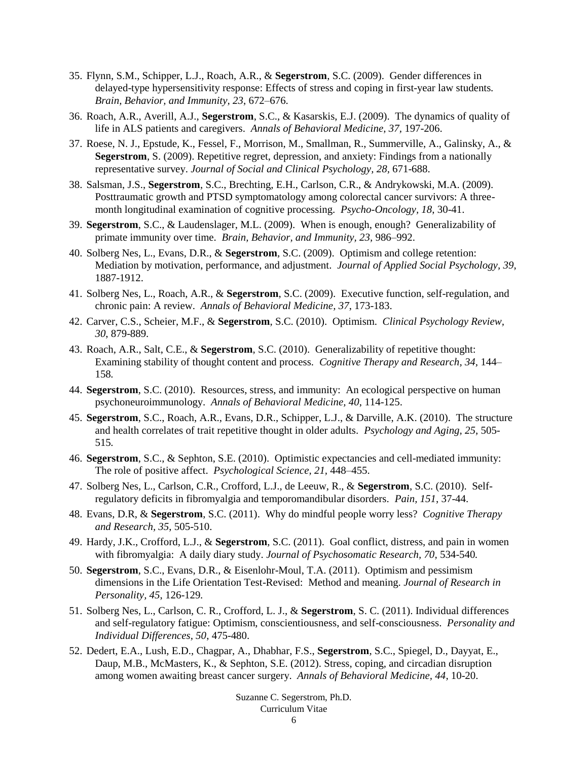- 35. Flynn, S.M., Schipper, L.J., Roach, A.R., & **Segerstrom**, S.C. (2009). Gender differences in delayed-type hypersensitivity response: Effects of stress and coping in first-year law students*. Brain, Behavior, and Immunity, 23*, 672–676.
- 36. Roach, A.R., Averill, A.J., **Segerstrom**, S.C., & Kasarskis, E.J. (2009). The dynamics of quality of life in ALS patients and caregivers. *Annals of Behavioral Medicine, 37,* 197-206.
- 37. Roese, N. J., Epstude, K., Fessel, F., Morrison, M., Smallman, R., Summerville, A., Galinsky, A., & **Segerstrom**, S. (2009). Repetitive regret, depression, and anxiety: Findings from a nationally representative survey. *Journal of Social and Clinical Psychology, 28,* 671-688.
- 38. Salsman, J.S., **Segerstrom**, S.C., Brechting, E.H., Carlson, C.R., & Andrykowski, M.A. (2009). Posttraumatic growth and PTSD symptomatology among colorectal cancer survivors: A threemonth longitudinal examination of cognitive processing. *Psycho-Oncology, 18*, 30-41.
- 39. **Segerstrom**, S.C., & Laudenslager, M.L. (2009). When is enough, enough? Generalizability of primate immunity over time. *Brain, Behavior, and Immunity, 23,* 986–992.
- 40. Solberg Nes, L., Evans, D.R., & **Segerstrom**, S.C. (2009). Optimism and college retention: Mediation by motivation, performance, and adjustment. *Journal of Applied Social Psychology, 39*, 1887-1912.
- 41. Solberg Nes, L., Roach, A.R., & **Segerstrom**, S.C. (2009). Executive function, self-regulation, and chronic pain: A review. *Annals of Behavioral Medicine, 37*, 173-183.
- 42. Carver, C.S., Scheier, M.F., & **Segerstrom**, S.C. (2010). Optimism. *Clinical Psychology Review, 30*, 879-889.
- 43. Roach, A.R., Salt, C.E., & **Segerstrom**, S.C. (2010). Generalizability of repetitive thought: Examining stability of thought content and process*. Cognitive Therapy and Research, 34,* 144– 158*.*
- 44. **Segerstrom**, S.C. (2010). Resources, stress, and immunity: An ecological perspective on human psychoneuroimmunology. *Annals of Behavioral Medicine, 40*, 114-125.
- 45. **Segerstrom**, S.C., Roach, A.R., Evans, D.R., Schipper, L.J., & Darville, A.K. (2010). The structure and health correlates of trait repetitive thought in older adults. *Psychology and Aging, 25*, 505- 515*.*
- 46. **Segerstrom**, S.C., & Sephton, S.E. (2010). Optimistic expectancies and cell-mediated immunity: The role of positive affect. *Psychological Science, 21,* 448–455.
- 47. Solberg Nes, L., Carlson, C.R., Crofford, L.J., de Leeuw, R., & **Segerstrom**, S.C. (2010). Selfregulatory deficits in fibromyalgia and temporomandibular disorders. *Pain, 151*, 37-44.
- 48. Evans, D.R, & **Segerstrom**, S.C. (2011). Why do mindful people worry less? *Cognitive Therapy and Research, 35*, 505-510.
- 49. Hardy, J.K., Crofford, L.J., & **Segerstrom**, S.C. (2011). Goal conflict, distress, and pain in women with fibromyalgia: A daily diary study. *Journal of Psychosomatic Research, 70*, 534-540*.*
- 50. **Segerstrom**, S.C., Evans, D.R., & Eisenlohr-Moul, T.A. (2011). Optimism and pessimism dimensions in the Life Orientation Test-Revised: Method and meaning. *Journal of Research in Personality, 45*, 126-129*.*
- 51. Solberg Nes, L., Carlson, C. R., Crofford, L. J., & **Segerstrom**, S. C. (2011). Individual differences and self-regulatory fatigue: Optimism, conscientiousness, and self-consciousness. *Personality and Individual Differences, 50*, 475-480.
- 52. Dedert, E.A., Lush, E.D., Chagpar, A., Dhabhar, F.S., **Segerstrom**, S.C., Spiegel, D., Dayyat, E., Daup, M.B., McMasters, K., & Sephton, S.E. (2012). Stress, coping, and circadian disruption among women awaiting breast cancer surgery. *Annals of Behavioral Medicine, 44*, 10-20.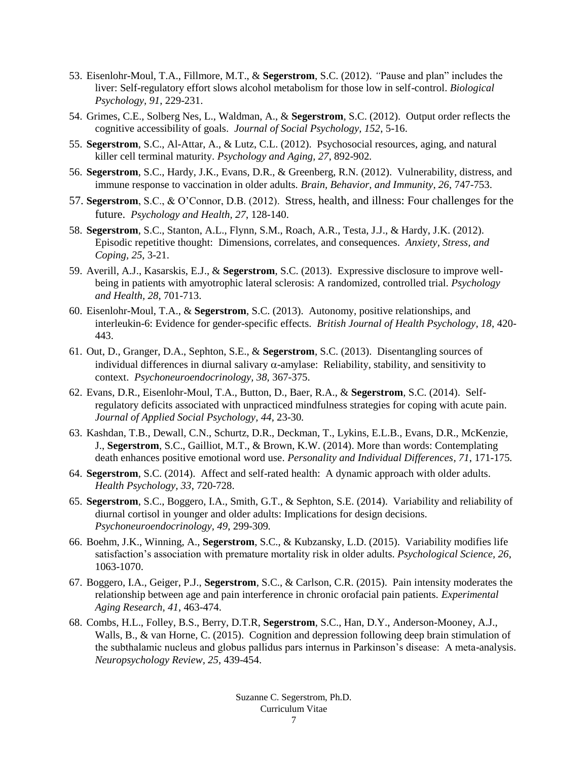- 53. Eisenlohr-Moul, T.A., Fillmore, M.T., & **Segerstrom**, S.C. (2012). *"*Pause and plan" includes the liver: Self-regulatory effort slows alcohol metabolism for those low in self-control. *Biological Psychology, 91*, 229-231.
- 54. Grimes, C.E., Solberg Nes, L., Waldman, A., & **Segerstrom**, S.C. (2012). Output order reflects the cognitive accessibility of goals. *Journal of Social Psychology, 152*, 5-16.
- 55. **Segerstrom**, S.C., Al-Attar, A., & Lutz, C.L. (2012). Psychosocial resources, aging, and natural killer cell terminal maturity. *Psychology and Aging, 27*, 892-902*.*
- 56. **Segerstrom**, S.C., Hardy, J.K., Evans, D.R., & Greenberg, R.N. (2012). Vulnerability, distress, and immune response to vaccination in older adults. *Brain, Behavior, and Immunity, 26*, 747-753.
- 57. **Segerstrom**, S.C., & O'Connor, D.B. (2012). Stress, health, and illness: Four challenges for the future. *Psychology and Health, 27*, 128-140.
- 58. **Segerstrom**, S.C., Stanton, A.L., Flynn, S.M., Roach, A.R., Testa, J.J., & Hardy, J.K. (2012). Episodic repetitive thought: Dimensions, correlates, and consequences. *Anxiety, Stress, and Coping, 25*, 3-21.
- 59. Averill, A.J., Kasarskis, E.J., & **Segerstrom**, S.C. (2013). Expressive disclosure to improve wellbeing in patients with amyotrophic lateral sclerosis: A randomized, controlled trial. *Psychology and Health, 28*, 701-713.
- 60. Eisenlohr-Moul, T.A., & **Segerstrom**, S.C. (2013). Autonomy, positive relationships, and interleukin-6: Evidence for gender-specific effects. *British Journal of Health Psychology, 18*, 420- 443.
- 61. Out, D., Granger, D.A., Sephton, S.E., & **Segerstrom**, S.C. (2013). Disentangling sources of individual differences in diurnal salivary  $\alpha$ -amylase: Reliability, stability, and sensitivity to context. *Psychoneuroendocrinology, 38,* 367-375.
- 62. Evans, D.R., Eisenlohr-Moul, T.A., Button, D., Baer, R.A., & **Segerstrom**, S.C. (2014). Selfregulatory deficits associated with unpracticed mindfulness strategies for coping with acute pain. *Journal of Applied Social Psychology, 44*, 23-30*.*
- 63. Kashdan, T.B., Dewall, C.N., Schurtz, D.R., Deckman, T., Lykins, E.L.B., Evans, D.R., McKenzie, J., **Segerstrom**, S.C., Gailliot, M.T., & Brown, K.W. (2014). More than words: Contemplating death enhances positive emotional word use. *Personality and Individual Differences, 71*, 171-175*.*
- 64. **Segerstrom**, S.C. (2014). Affect and self-rated health: A dynamic approach with older adults. *Health Psychology, 33*, 720-728.
- 65. **Segerstrom**, S.C., Boggero, I.A., Smith, G.T., & Sephton, S.E. (2014). Variability and reliability of diurnal cortisol in younger and older adults: Implications for design decisions. *Psychoneuroendocrinology, 49*, 299-309*.*
- 66. Boehm, J.K., Winning, A., **Segerstrom**, S.C., & Kubzansky, L.D. (2015). Variability modifies life satisfaction's association with premature mortality risk in older adults. *Psychological Science, 26*, 1063-1070.
- 67. Boggero, I.A., Geiger, P.J., **Segerstrom**, S.C., & Carlson, C.R. (2015). Pain intensity moderates the relationship between age and pain interference in chronic orofacial pain patients. *Experimental Aging Research, 41*, 463-474.
- 68. Combs, H.L., Folley, B.S., Berry, D.T.R, **Segerstrom**, S.C., Han, D.Y., Anderson-Mooney, A.J., Walls, B., & van Horne, C. (2015). Cognition and depression following deep brain stimulation of the subthalamic nucleus and globus pallidus pars internus in Parkinson's disease: A meta-analysis. *Neuropsychology Review, 25*, 439-454.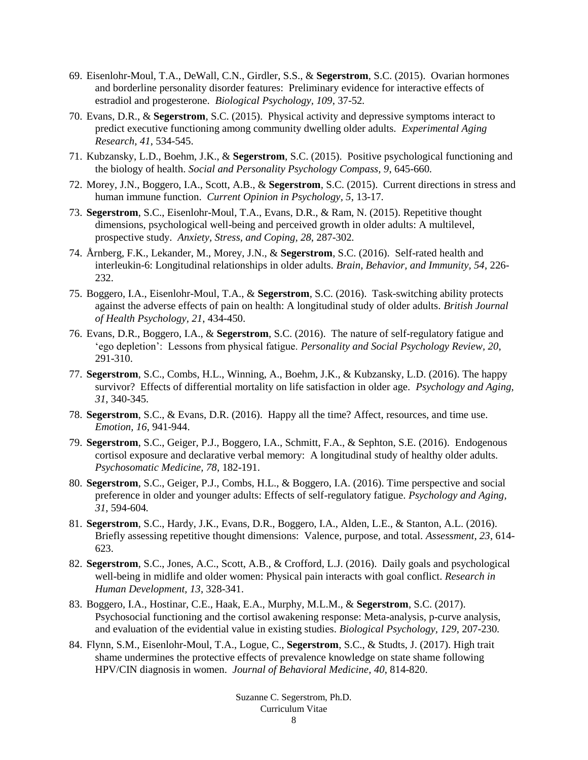- 69. Eisenlohr-Moul, T.A., DeWall, C.N., Girdler, S.S., & **Segerstrom**, S.C. (2015). Ovarian hormones and borderline personality disorder features: Preliminary evidence for interactive effects of estradiol and progesterone. *Biological Psychology, 109*, 37-52*.*
- 70. Evans, D.R., & **Segerstrom**, S.C. (2015). Physical activity and depressive symptoms interact to predict executive functioning among community dwelling older adults. *Experimental Aging Research, 41*, 534-545.
- 71. Kubzansky, L.D., Boehm, J.K., & **Segerstrom**, S.C. (2015). Positive psychological functioning and the biology of health. *Social and Personality Psychology Compass, 9*, 645-660*.*
- 72. Morey, J.N., Boggero, I.A., Scott, A.B., & **Segerstrom**, S.C. (2015). Current directions in stress and human immune function. *Current Opinion in Psychology, 5*, 13-17.
- 73. **Segerstrom**, S.C., Eisenlohr-Moul, T.A., Evans, D.R., & Ram, N. (2015). Repetitive thought dimensions, psychological well-being and perceived growth in older adults: A multilevel, prospective study. *Anxiety, Stress, and Coping, 28*, 287-302*.*
- 74. Årnberg, F.K., Lekander, M., Morey, J.N., & **Segerstrom**, S.C. (2016). Self-rated health and interleukin-6: Longitudinal relationships in older adults. *Brain, Behavior, and Immunity, 54*, 226- 232.
- 75. Boggero, I.A., Eisenlohr-Moul, T.A., & **Segerstrom**, S.C. (2016). Task-switching ability protects against the adverse effects of pain on health: A longitudinal study of older adults. *British Journal of Health Psychology, 21*, 434-450.
- 76. Evans, D.R., Boggero, I.A., & **Segerstrom**, S.C. (2016). The nature of self-regulatory fatigue and 'ego depletion': Lessons from physical fatigue. *Personality and Social Psychology Review, 20*, 291-310.
- 77. **Segerstrom**, S.C., Combs, H.L., Winning, A., Boehm, J.K., & Kubzansky, L.D. (2016). The happy survivor? Effects of differential mortality on life satisfaction in older age. *Psychology and Aging, 31*, 340-345.
- 78. **Segerstrom**, S.C., & Evans, D.R. (2016). Happy all the time? Affect, resources, and time use. *Emotion, 16*, 941-944.
- 79. **Segerstrom**, S.C., Geiger, P.J., Boggero, I.A., Schmitt, F.A., & Sephton, S.E. (2016). Endogenous cortisol exposure and declarative verbal memory: A longitudinal study of healthy older adults. *Psychosomatic Medicine, 78*, 182-191.
- 80. **Segerstrom**, S.C., Geiger, P.J., Combs, H.L., & Boggero, I.A. (2016). Time perspective and social preference in older and younger adults: Effects of self-regulatory fatigue. *Psychology and Aging, 31*, 594-604*.*
- 81. **Segerstrom**, S.C., Hardy, J.K., Evans, D.R., Boggero, I.A., Alden, L.E., & Stanton, A.L. (2016). Briefly assessing repetitive thought dimensions: Valence, purpose, and total. *Assessment, 23*, 614- 623.
- 82. **Segerstrom**, S.C., Jones, A.C., Scott, A.B., & Crofford, L.J. (2016). Daily goals and psychological well-being in midlife and older women: Physical pain interacts with goal conflict. *Research in Human Development, 13*, 328-341.
- 83. Boggero, I.A., Hostinar, C.E., Haak, E.A., Murphy, M.L.M., & **Segerstrom**, S.C. (2017). Psychosocial functioning and the cortisol awakening response: Meta-analysis, p-curve analysis, and evaluation of the evidential value in existing studies. *Biological Psychology, 129*, 207-230*.*
- 84. Flynn, S.M., Eisenlohr-Moul, T.A., Logue, C., **Segerstrom**, S.C., & Studts, J. (2017). High trait shame undermines the protective effects of prevalence knowledge on state shame following HPV/CIN diagnosis in women. *Journal of Behavioral Medicine, 40*, 814-820.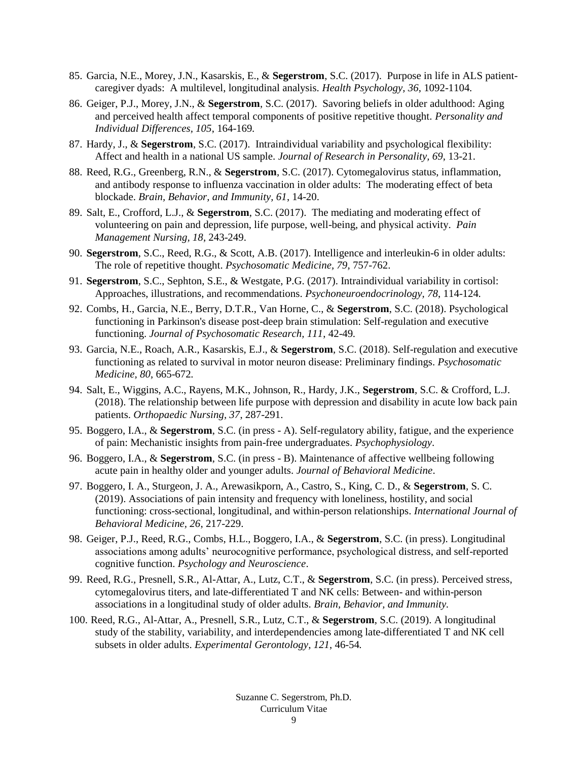- 85. Garcia, N.E., Morey, J.N., Kasarskis, E., & **Segerstrom**, S.C. (2017). Purpose in life in ALS patientcaregiver dyads: A multilevel, longitudinal analysis. *Health Psychology, 36*, 1092-1104*.*
- 86. Geiger, P.J., Morey, J.N., & **Segerstrom**, S.C. (2017). Savoring beliefs in older adulthood: Aging and perceived health affect temporal components of positive repetitive thought. *Personality and Individual Differences, 105*, 164-169*.*
- 87. Hardy, J., & **Segerstrom**, S.C. (2017). Intraindividual variability and psychological flexibility: Affect and health in a national US sample. *Journal of Research in Personality, 69*, 13-21.
- 88. Reed, R.G., Greenberg, R.N., & **Segerstrom**, S.C. (2017). Cytomegalovirus status, inflammation, and antibody response to influenza vaccination in older adults: The moderating effect of beta blockade. *Brain, Behavior, and Immunity, 61*, 14-20.
- 89. Salt, E., Crofford, L.J., & **Segerstrom**, S.C. (2017). The mediating and moderating effect of volunteering on pain and depression, life purpose, well-being, and physical activity. *Pain Management Nursing, 18*, 243-249.
- 90. **Segerstrom**, S.C., Reed, R.G., & Scott, A.B. (2017). Intelligence and interleukin-6 in older adults: The role of repetitive thought. *Psychosomatic Medicine, 79*, 757-762.
- 91. **Segerstrom**, S.C., Sephton, S.E., & Westgate, P.G. (2017). Intraindividual variability in cortisol: Approaches, illustrations, and recommendations. *Psychoneuroendocrinology, 78*, 114-124*.*
- 92. Combs, H., Garcia, N.E., Berry, D.T.R., Van Horne, C., & **Segerstrom**, S.C. (2018). Psychological functioning in Parkinson's disease post-deep brain stimulation: Self-regulation and executive functioning. *Journal of Psychosomatic Research, 111*, 42-49*.*
- 93. Garcia, N.E., Roach, A.R., Kasarskis, E.J., & **Segerstrom**, S.C. (2018). Self-regulation and executive functioning as related to survival in motor neuron disease: Preliminary findings. *Psychosomatic Medicine, 80*, 665-672*.*
- 94. Salt, E., Wiggins, A.C., Rayens, M.K., Johnson, R., Hardy, J.K., **Segerstrom**, S.C. & Crofford, L.J. (2018). The relationship between life purpose with depression and disability in acute low back pain patients. *Orthopaedic Nursing, 37*, 287-291.
- 95. Boggero, I.A., & **Segerstrom**, S.C. (in press A). Self-regulatory ability, fatigue, and the experience of pain: Mechanistic insights from pain-free undergraduates. *Psychophysiology*.
- 96. Boggero, I.A., & **Segerstrom**, S.C. (in press B). Maintenance of affective wellbeing following acute pain in healthy older and younger adults. *Journal of Behavioral Medicine*.
- 97. Boggero, I. A., Sturgeon, J. A., Arewasikporn, A., Castro, S., King, C. D., & **Segerstrom**, S. C. (2019). Associations of pain intensity and frequency with loneliness, hostility, and social functioning: cross-sectional, longitudinal, and within-person relationships. *International Journal of Behavioral Medicine, 26*, 217-229.
- 98. Geiger, P.J., Reed, R.G., Combs, H.L., Boggero, I.A., & **Segerstrom**, S.C. (in press). Longitudinal associations among adults' neurocognitive performance, psychological distress, and self-reported cognitive function. *Psychology and Neuroscience*.
- 99. Reed, R.G., Presnell, S.R., Al-Attar, A., Lutz, C.T., & **Segerstrom**, S.C. (in press). Perceived stress, cytomegalovirus titers, and late-differentiated T and NK cells: Between- and within-person associations in a longitudinal study of older adults. *Brain, Behavior, and Immunity.*
- 100. Reed, R.G., Al-Attar, A., Presnell, S.R., Lutz, C.T., & **Segerstrom**, S.C. (2019). A longitudinal study of the stability, variability, and interdependencies among late-differentiated T and NK cell subsets in older adults. *Experimental Gerontology, 121*, 46-54*.*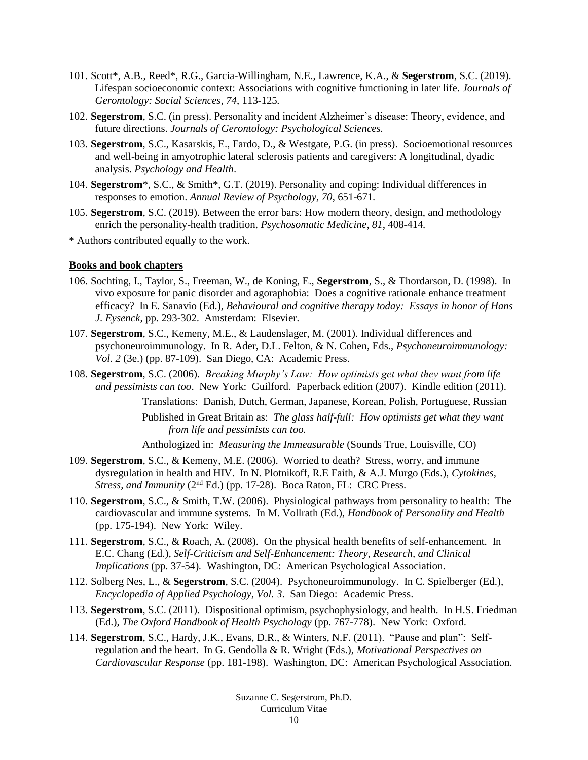- 101. Scott\*, A.B., Reed\*, R.G., Garcia-Willingham, N.E., Lawrence, K.A., & **Segerstrom**, S.C. (2019). Lifespan socioeconomic context: Associations with cognitive functioning in later life. *Journals of Gerontology: Social Sciences, 74*, 113-125*.*
- 102. **Segerstrom**, S.C. (in press). Personality and incident Alzheimer's disease: Theory, evidence, and future directions. *Journals of Gerontology: Psychological Sciences.*
- 103. **Segerstrom**, S.C., Kasarskis, E., Fardo, D., & Westgate, P.G. (in press). Socioemotional resources and well-being in amyotrophic lateral sclerosis patients and caregivers: A longitudinal, dyadic analysis. *Psychology and Health*.
- 104. **Segerstrom**\*, S.C., & Smith\*, G.T. (2019). Personality and coping: Individual differences in responses to emotion. *Annual Review of Psychology, 70*, 651-671*.*
- 105. **Segerstrom**, S.C. (2019). Between the error bars: How modern theory, design, and methodology enrich the personality-health tradition. *Psychosomatic Medicine, 81*, 408-414*.*
- \* Authors contributed equally to the work.

# **Books and book chapters**

- 106. Sochting, I., Taylor, S., Freeman, W., de Koning, E., **Segerstrom**, S., & Thordarson, D. (1998). In vivo exposure for panic disorder and agoraphobia: Does a cognitive rationale enhance treatment efficacy? In E. Sanavio (Ed.), *Behavioural and cognitive therapy today: Essays in honor of Hans J. Eysenck*, pp. 293-302. Amsterdam: Elsevier.
- 107. **Segerstrom**, S.C., Kemeny, M.E., & Laudenslager, M. (2001). Individual differences and psychoneuroimmunology. In R. Ader, D.L. Felton, & N. Cohen, Eds., *Psychoneuroimmunology: Vol. 2* (3e.) (pp. 87-109). San Diego, CA: Academic Press.
- 108. **Segerstrom**, S.C. (2006). *Breaking Murphy's Law: How optimists get what they want from life and pessimists can too*. New York: Guilford. Paperback edition (2007). Kindle edition (2011).

Translations: Danish, Dutch, German, Japanese, Korean, Polish, Portuguese, Russian Published in Great Britain as: *The glass half-full: How optimists get what they want from life and pessimists can too.*

Anthologized in: *Measuring the Immeasurable* (Sounds True, Louisville, CO)

- 109. **Segerstrom**, S.C., & Kemeny, M.E. (2006). Worried to death? Stress, worry, and immune dysregulation in health and HIV. In N. Plotnikoff, R.E Faith, & A.J. Murgo (Eds.), *Cytokines, Stress, and Immunity* (2nd Ed.) (pp. 17-28). Boca Raton, FL: CRC Press.
- 110. **Segerstrom**, S.C., & Smith, T.W. (2006). Physiological pathways from personality to health: The cardiovascular and immune systems*.* In M. Vollrath (Ed.), *Handbook of Personality and Health* (pp. 175-194). New York: Wiley.
- 111. **Segerstrom**, S.C., & Roach, A. (2008). On the physical health benefits of self-enhancement. In E.C. Chang (Ed.), *Self-Criticism and Self-Enhancement: Theory, Research, and Clinical Implications* (pp. 37-54)*.* Washington, DC: American Psychological Association.
- 112. Solberg Nes, L., & **Segerstrom**, S.C. (2004). Psychoneuroimmunology. In C. Spielberger (Ed.), *Encyclopedia of Applied Psychology, Vol. 3*. San Diego: Academic Press.
- 113. **Segerstrom**, S.C. (2011). Dispositional optimism, psychophysiology, and health. In H.S. Friedman (Ed.), *The Oxford Handbook of Health Psychology* (pp. 767-778). New York: Oxford.
- 114. **Segerstrom**, S.C., Hardy, J.K., Evans, D.R., & Winters, N.F. (2011). "Pause and plan": Selfregulation and the heart. In G. Gendolla & R. Wright (Eds.), *Motivational Perspectives on Cardiovascular Response* (pp. 181-198). Washington, DC: American Psychological Association.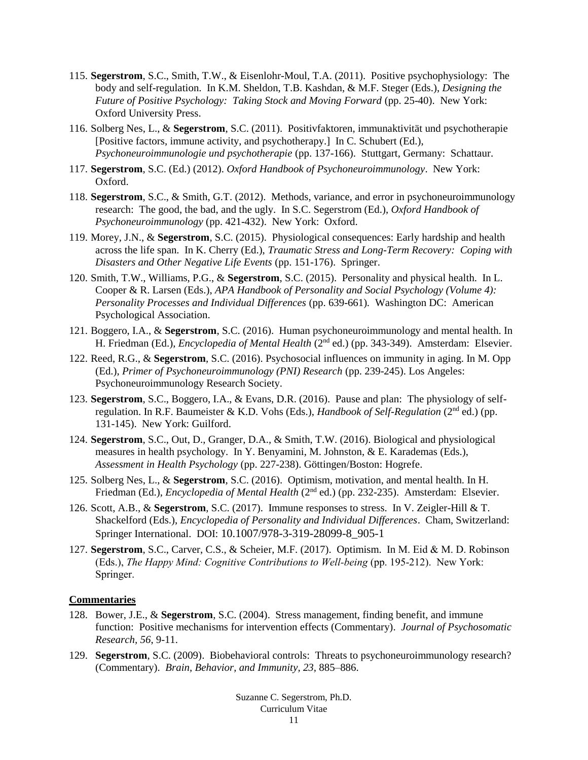- 115. **Segerstrom**, S.C., Smith, T.W., & Eisenlohr-Moul, T.A. (2011). Positive psychophysiology: The body and self-regulation. In K.M. Sheldon, T.B. Kashdan, & M.F. Steger (Eds.), *Designing the Future of Positive Psychology: Taking Stock and Moving Forward* (pp. 25-40). New York: Oxford University Press.
- 116. Solberg Nes, L., & **Segerstrom**, S.C. (2011). Positivfaktoren, immunaktivität und psychotherapie [Positive factors, immune activity, and psychotherapy.] In C. Schubert (Ed.), *Psychoneuroimmunologie und psychotherapie* (pp. 137-166). Stuttgart, Germany: Schattaur.
- 117. **Segerstrom**, S.C. (Ed.) (2012). *Oxford Handbook of Psychoneuroimmunology*. New York: Oxford.
- 118. **Segerstrom**, S.C., & Smith, G.T. (2012). Methods, variance, and error in psychoneuroimmunology research: The good, the bad, and the ugly. In S.C. Segerstrom (Ed.), *Oxford Handbook of Psychoneuroimmunology* (pp. 421-432). New York: Oxford.
- 119. Morey, J.N., & **Segerstrom**, S.C. (2015). Physiological consequences: Early hardship and health across the life span. In K. Cherry (Ed.), *Traumatic Stress and Long-Term Recovery: Coping with Disasters and Other Negative Life Events* (pp. 151-176). Springer.
- 120. Smith, T.W., Williams, P.G., & **Segerstrom**, S.C. (2015). Personality and physical health. In L. Cooper & R. Larsen (Eds.), *APA Handbook of Personality and Social Psychology (Volume 4): Personality Processes and Individual Differences* (pp. 639-661)*.* Washington DC: American Psychological Association.
- 121. Boggero, I.A., & **Segerstrom**, S.C. (2016). Human psychoneuroimmunology and mental health. In H. Friedman (Ed.), *Encyclopedia of Mental Health* (2nd ed.) (pp. 343-349). Amsterdam: Elsevier.
- 122. Reed, R.G., & **Segerstrom**, S.C. (2016). Psychosocial influences on immunity in aging. In M. Opp (Ed.), *Primer of Psychoneuroimmunology (PNI) Research* (pp. 239-245). Los Angeles: Psychoneuroimmunology Research Society.
- 123. **Segerstrom**, S.C., Boggero, I.A., & Evans, D.R. (2016). Pause and plan: The physiology of selfregulation. In R.F. Baumeister & K.D. Vohs (Eds.), *Handbook of Self-Regulation* (2nd ed.) (pp. 131-145). New York: Guilford.
- 124. **Segerstrom**, S.C., Out, D., Granger, D.A., & Smith, T.W. (2016). Biological and physiological measures in health psychology. In Y. Benyamini, M. Johnston, & E. Karademas (Eds.), *Assessment in Health Psychology* (pp. 227-238). Göttingen/Boston: Hogrefe.
- 125. Solberg Nes, L., & **Segerstrom**, S.C. (2016). Optimism, motivation, and mental health. In H. Friedman (Ed.), *Encyclopedia of Mental Health* (2<sup>nd</sup> ed.) (pp. 232-235). Amsterdam: Elsevier.
- 126. Scott, A.B., & **Segerstrom**, S.C. (2017). Immune responses to stress. In V. Zeigler-Hill & T. Shackelford (Eds.), *Encyclopedia of Personality and Individual Differences*. Cham, Switzerland: Springer International. DOI: 10.1007/978-3-319-28099-8\_905-1
- 127. **Segerstrom**, S.C., Carver, C.S., & Scheier, M.F. (2017). Optimism. In M. Eid & M. D. Robinson (Eds.), *The Happy Mind: Cognitive Contributions to Well-being* (pp. 195-212). New York: Springer.

#### **Commentaries**

- 128. Bower, J.E., & **Segerstrom**, S.C. (2004). Stress management, finding benefit, and immune function: Positive mechanisms for intervention effects (Commentary). *Journal of Psychosomatic Research, 56*, 9-11.
- 129. **Segerstrom**, S.C. (2009). Biobehavioral controls: Threats to psychoneuroimmunology research? (Commentary). *Brain, Behavior, and Immunity, 23,* 885–886.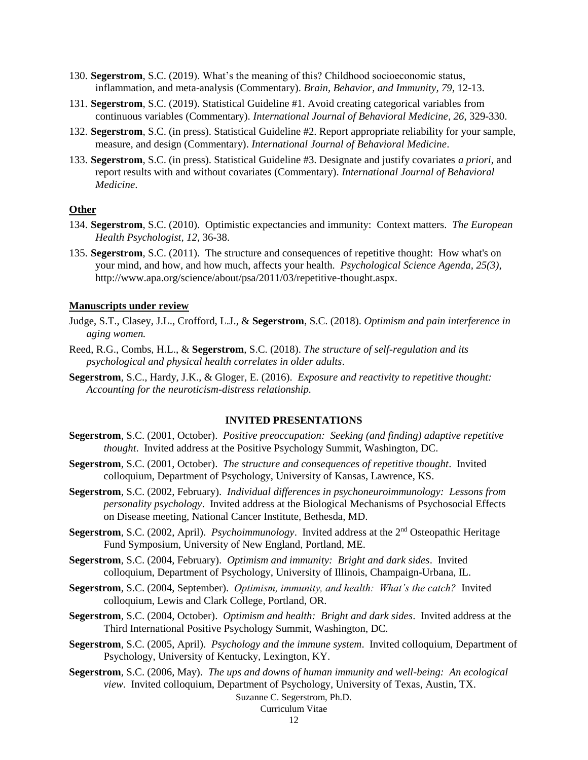- 130. **Segerstrom**, S.C. (2019). What's the meaning of this? Childhood socioeconomic status, inflammation, and meta-analysis (Commentary). *Brain, Behavior, and Immunity, 79*, 12-13.
- 131. **Segerstrom**, S.C. (2019). Statistical Guideline #1. Avoid creating categorical variables from continuous variables (Commentary). *International Journal of Behavioral Medicine, 26*, 329-330.
- 132. **Segerstrom**, S.C. (in press). Statistical Guideline #2. Report appropriate reliability for your sample, measure, and design (Commentary). *International Journal of Behavioral Medicine*.
- 133. **Segerstrom**, S.C. (in press). Statistical Guideline #3. Designate and justify covariates *a priori*, and report results with and without covariates (Commentary). *International Journal of Behavioral Medicine*.

# **Other**

- 134. **Segerstrom**, S.C. (2010). Optimistic expectancies and immunity: Context matters. *The European Health Psychologist, 12*, 36-38.
- 135. **Segerstrom**, S.C. (2011). The structure and consequences of repetitive thought: How what's on your mind, and how, and how much, affects your health. *Psychological Science Agenda, 25(3)*, http://www.apa.org/science/about/psa/2011/03/repetitive-thought.aspx.

#### **Manuscripts under review**

- Judge, S.T., Clasey, J.L., Crofford, L.J., & **Segerstrom**, S.C. (2018). *Optimism and pain interference in aging women.*
- Reed, R.G., Combs, H.L., & **Segerstrom**, S.C. (2018). *The structure of self-regulation and its psychological and physical health correlates in older adults*.
- **Segerstrom**, S.C., Hardy, J.K., & Gloger, E. (2016). *Exposure and reactivity to repetitive thought: Accounting for the neuroticism-distress relationship.*

#### **INVITED PRESENTATIONS**

- **Segerstrom**, S.C. (2001, October). *Positive preoccupation: Seeking (and finding) adaptive repetitive thought*. Invited address at the Positive Psychology Summit, Washington, DC.
- **Segerstrom**, S.C. (2001, October). *The structure and consequences of repetitive thought*. Invited colloquium, Department of Psychology, University of Kansas, Lawrence, KS.
- **Segerstrom**, S.C. (2002, February). *Individual differences in psychoneuroimmunology: Lessons from personality psychology*. Invited address at the Biological Mechanisms of Psychosocial Effects on Disease meeting, National Cancer Institute, Bethesda, MD.
- **Segerstrom**, S.C. (2002, April). *Psychoimmunology*. Invited address at the 2nd Osteopathic Heritage Fund Symposium, University of New England, Portland, ME.
- **Segerstrom**, S.C. (2004, February). *Optimism and immunity: Bright and dark sides*. Invited colloquium, Department of Psychology, University of Illinois, Champaign-Urbana, IL.
- **Segerstrom**, S.C. (2004, September). *Optimism, immunity, and health: What's the catch?* Invited colloquium, Lewis and Clark College, Portland, OR.
- **Segerstrom**, S.C. (2004, October). *Optimism and health: Bright and dark sides*. Invited address at the Third International Positive Psychology Summit, Washington, DC.
- **Segerstrom**, S.C. (2005, April). *Psychology and the immune system*. Invited colloquium, Department of Psychology, University of Kentucky, Lexington, KY.
- **Segerstrom**, S.C. (2006, May). *The ups and downs of human immunity and well-being: An ecological view*. Invited colloquium, Department of Psychology, University of Texas, Austin, TX.

# Suzanne C. Segerstrom, Ph.D.

# Curriculum Vitae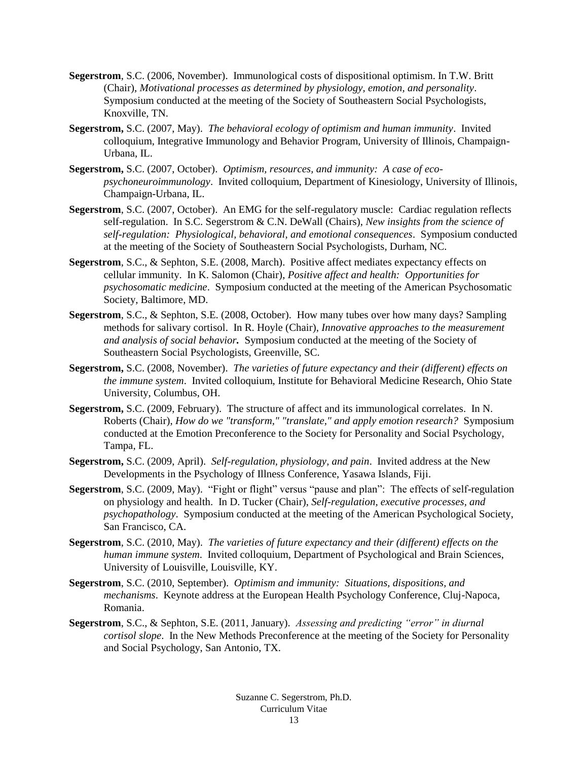- **Segerstrom**, S.C. (2006, November). Immunological costs of dispositional optimism. In T.W. Britt (Chair), *Motivational processes as determined by physiology, emotion, and personality*. Symposium conducted at the meeting of the Society of Southeastern Social Psychologists, Knoxville, TN.
- **Segerstrom,** S.C. (2007, May). *The behavioral ecology of optimism and human immunity*. Invited colloquium, Integrative Immunology and Behavior Program, University of Illinois, Champaign-Urbana, IL.
- **Segerstrom,** S.C. (2007, October). *Optimism, resources, and immunity: A case of ecopsychoneuroimmunology*. Invited colloquium, Department of Kinesiology, University of Illinois, Champaign-Urbana, IL.
- **Segerstrom**, S.C. (2007, October). An EMG for the self-regulatory muscle: Cardiac regulation reflects self-regulation. In S.C. Segerstrom & C.N. DeWall (Chairs), *New insights from the science of self-regulation: Physiological, behavioral, and emotional consequences*. Symposium conducted at the meeting of the Society of Southeastern Social Psychologists, Durham, NC.
- **Segerstrom**, S.C., & Sephton, S.E. (2008, March). Positive affect mediates expectancy effects on cellular immunity. In K. Salomon (Chair), *Positive affect and health: Opportunities for psychosomatic medicine*. Symposium conducted at the meeting of the American Psychosomatic Society, Baltimore, MD.
- **Segerstrom**, S.C., & Sephton, S.E. (2008, October). How many tubes over how many days? Sampling methods for salivary cortisol. In R. Hoyle (Chair), *Innovative approaches to the measurement and analysis of social behavior.* Symposium conducted at the meeting of the Society of Southeastern Social Psychologists, Greenville, SC.
- **Segerstrom,** S.C. (2008, November). *The varieties of future expectancy and their (different) effects on the immune system*. Invited colloquium, Institute for Behavioral Medicine Research, Ohio State University, Columbus, OH.
- **Segerstrom,** S.C. (2009, February). The structure of affect and its immunological correlates. In N. Roberts (Chair), *How do we "transform," "translate," and apply emotion research?* Symposium conducted at the Emotion Preconference to the Society for Personality and Social Psychology, Tampa, FL.
- **Segerstrom,** S.C. (2009, April). *Self-regulation, physiology, and pain*. Invited address at the New Developments in the Psychology of Illness Conference, Yasawa Islands, Fiji.
- **Segerstrom**, S.C. (2009, May). "Fight or flight" versus "pause and plan": The effects of self-regulation on physiology and health. In D. Tucker (Chair), *Self-regulation, executive processes, and psychopathology*. Symposium conducted at the meeting of the American Psychological Society, San Francisco, CA.
- **Segerstrom**, S.C. (2010, May). *The varieties of future expectancy and their (different) effects on the human immune system*. Invited colloquium, Department of Psychological and Brain Sciences, University of Louisville, Louisville, KY.
- **Segerstrom**, S.C. (2010, September). *Optimism and immunity: Situations, dispositions, and mechanisms*. Keynote address at the European Health Psychology Conference, Cluj-Napoca, Romania.
- **Segerstrom**, S.C., & Sephton, S.E. (2011, January). *Assessing and predicting "error" in diurnal cortisol slope*. In the New Methods Preconference at the meeting of the Society for Personality and Social Psychology, San Antonio, TX.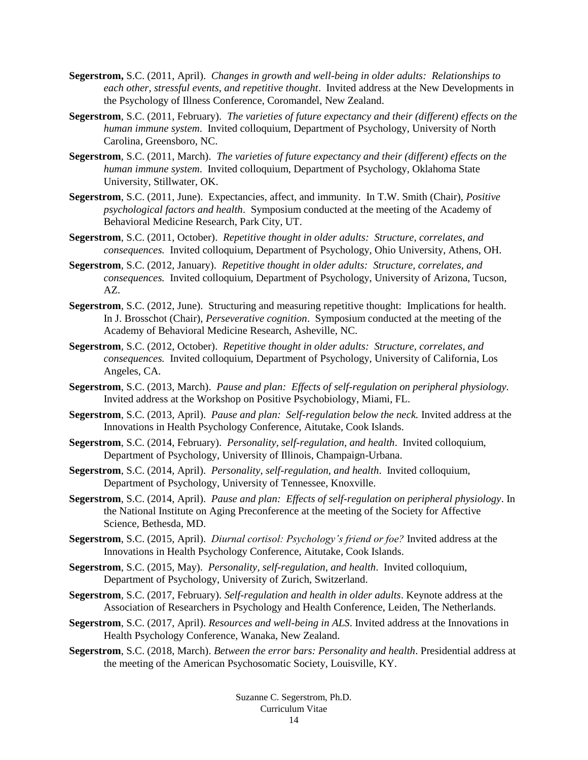- **Segerstrom,** S.C. (2011, April). *Changes in growth and well-being in older adults: Relationships to each other, stressful events, and repetitive thought*. Invited address at the New Developments in the Psychology of Illness Conference, Coromandel, New Zealand.
- **Segerstrom**, S.C. (2011, February). *The varieties of future expectancy and their (different) effects on the human immune system*. Invited colloquium, Department of Psychology, University of North Carolina, Greensboro, NC.
- **Segerstrom**, S.C. (2011, March). *The varieties of future expectancy and their (different) effects on the human immune system*. Invited colloquium, Department of Psychology, Oklahoma State University, Stillwater, OK.
- **Segerstrom**, S.C. (2011, June). Expectancies, affect, and immunity. In T.W. Smith (Chair), *Positive psychological factors and health*. Symposium conducted at the meeting of the Academy of Behavioral Medicine Research, Park City, UT.
- **Segerstrom**, S.C. (2011, October). *Repetitive thought in older adults: Structure, correlates, and consequences.* Invited colloquium, Department of Psychology, Ohio University, Athens, OH.
- **Segerstrom**, S.C. (2012, January). *Repetitive thought in older adults: Structure, correlates, and consequences.* Invited colloquium, Department of Psychology, University of Arizona, Tucson, AZ.
- **Segerstrom**, S.C. (2012, June). Structuring and measuring repetitive thought: Implications for health. In J. Brosschot (Chair), *Perseverative cognition*. Symposium conducted at the meeting of the Academy of Behavioral Medicine Research, Asheville, NC.
- **Segerstrom**, S.C. (2012, October). *Repetitive thought in older adults: Structure, correlates, and consequences.* Invited colloquium, Department of Psychology, University of California, Los Angeles, CA.
- **Segerstrom**, S.C. (2013, March). *Pause and plan: Effects of self-regulation on peripheral physiology.*  Invited address at the Workshop on Positive Psychobiology, Miami, FL.
- **Segerstrom**, S.C. (2013, April). *Pause and plan: Self-regulation below the neck.* Invited address at the Innovations in Health Psychology Conference, Aitutake, Cook Islands.
- **Segerstrom**, S.C. (2014, February). *Personality, self-regulation, and health*. Invited colloquium, Department of Psychology, University of Illinois, Champaign-Urbana.
- **Segerstrom**, S.C. (2014, April). *Personality, self-regulation, and health*. Invited colloquium, Department of Psychology, University of Tennessee, Knoxville.
- **Segerstrom**, S.C. (2014, April). *Pause and plan: Effects of self-regulation on peripheral physiology*. In the National Institute on Aging Preconference at the meeting of the Society for Affective Science, Bethesda, MD.
- **Segerstrom**, S.C. (2015, April). *Diurnal cortisol: Psychology's friend or foe?* Invited address at the Innovations in Health Psychology Conference, Aitutake, Cook Islands.
- **Segerstrom**, S.C. (2015, May). *Personality, self-regulation, and health*. Invited colloquium, Department of Psychology, University of Zurich, Switzerland.
- **Segerstrom**, S.C. (2017, February). *Self-regulation and health in older adults*. Keynote address at the Association of Researchers in Psychology and Health Conference, Leiden, The Netherlands.
- **Segerstrom**, S.C. (2017, April). *Resources and well-being in ALS*. Invited address at the Innovations in Health Psychology Conference, Wanaka, New Zealand.
- **Segerstrom**, S.C. (2018, March). *Between the error bars: Personality and health*. Presidential address at the meeting of the American Psychosomatic Society, Louisville, KY.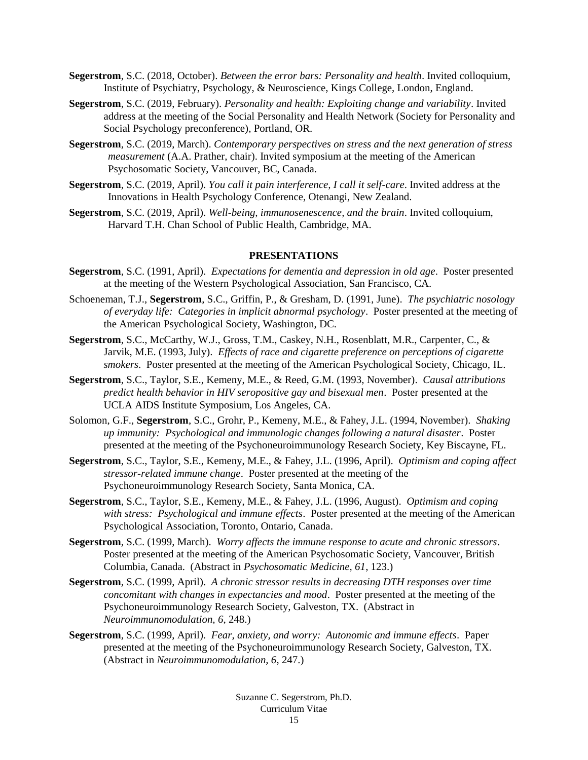- **Segerstrom**, S.C. (2018, October). *Between the error bars: Personality and health*. Invited colloquium, Institute of Psychiatry, Psychology, & Neuroscience, Kings College, London, England.
- **Segerstrom**, S.C. (2019, February). *Personality and health: Exploiting change and variability*. Invited address at the meeting of the Social Personality and Health Network (Society for Personality and Social Psychology preconference), Portland, OR.
- **Segerstrom**, S.C. (2019, March). *Contemporary perspectives on stress and the next generation of stress measurement* (A.A. Prather, chair). Invited symposium at the meeting of the American Psychosomatic Society, Vancouver, BC, Canada.
- **Segerstrom**, S.C. (2019, April). *You call it pain interference, I call it self-care*. Invited address at the Innovations in Health Psychology Conference, Otenangi, New Zealand.
- **Segerstrom**, S.C. (2019, April). *Well-being, immunosenescence, and the brain*. Invited colloquium, Harvard T.H. Chan School of Public Health, Cambridge, MA.

#### **PRESENTATIONS**

- **Segerstrom**, S.C. (1991, April). *Expectations for dementia and depression in old age*. Poster presented at the meeting of the Western Psychological Association, San Francisco, CA.
- Schoeneman, T.J., **Segerstrom**, S.C., Griffin, P., & Gresham, D. (1991, June). *The psychiatric nosology of everyday life: Categories in implicit abnormal psychology*. Poster presented at the meeting of the American Psychological Society, Washington, DC.
- **Segerstrom**, S.C., McCarthy, W.J., Gross, T.M., Caskey, N.H., Rosenblatt, M.R., Carpenter, C., & Jarvik, M.E. (1993, July). *Effects of race and cigarette preference on perceptions of cigarette smokers*. Poster presented at the meeting of the American Psychological Society, Chicago, IL.
- **Segerstrom**, S.C., Taylor, S.E., Kemeny, M.E., & Reed, G.M. (1993, November). *Causal attributions predict health behavior in HIV seropositive gay and bisexual men*. Poster presented at the UCLA AIDS Institute Symposium, Los Angeles, CA.
- Solomon, G.F., **Segerstrom**, S.C., Grohr, P., Kemeny, M.E., & Fahey, J.L. (1994, November). *Shaking up immunity: Psychological and immunologic changes following a natural disaster*. Poster presented at the meeting of the Psychoneuroimmunology Research Society, Key Biscayne, FL.
- **Segerstrom**, S.C., Taylor, S.E., Kemeny, M.E., & Fahey, J.L. (1996, April). *Optimism and coping affect stressor-related immune change*. Poster presented at the meeting of the Psychoneuroimmunology Research Society, Santa Monica, CA.
- **Segerstrom**, S.C., Taylor, S.E., Kemeny, M.E., & Fahey, J.L. (1996, August). *Optimism and coping with stress: Psychological and immune effects*. Poster presented at the meeting of the American Psychological Association, Toronto, Ontario, Canada.
- **Segerstrom**, S.C. (1999, March). *Worry affects the immune response to acute and chronic stressors*. Poster presented at the meeting of the American Psychosomatic Society, Vancouver, British Columbia, Canada. (Abstract in *Psychosomatic Medicine, 61*, 123.)
- **Segerstrom**, S.C. (1999, April). *A chronic stressor results in decreasing DTH responses over time concomitant with changes in expectancies and mood*. Poster presented at the meeting of the Psychoneuroimmunology Research Society, Galveston, TX. (Abstract in *Neuroimmunomodulation, 6*, 248.)
- **Segerstrom**, S.C. (1999, April). *Fear, anxiety, and worry: Autonomic and immune effects*. Paper presented at the meeting of the Psychoneuroimmunology Research Society, Galveston, TX. (Abstract in *Neuroimmunomodulation, 6*, 247.)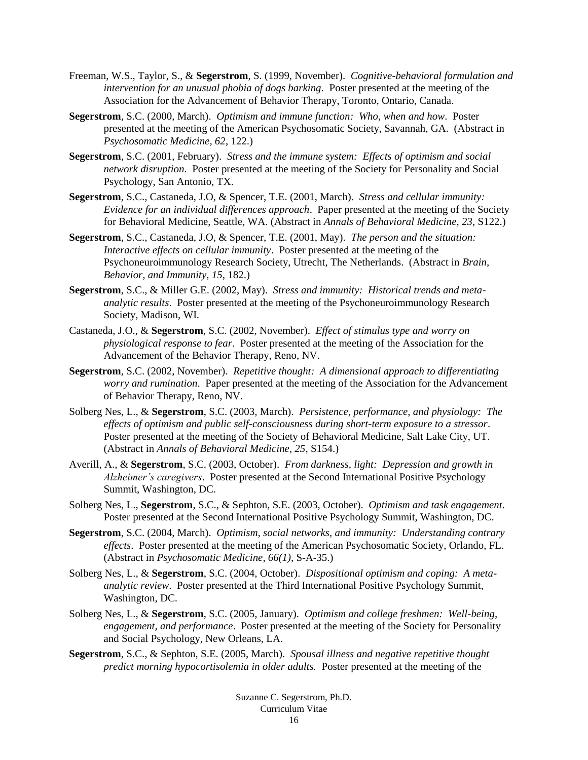- Freeman, W.S., Taylor, S., & **Segerstrom**, S. (1999, November). *Cognitive-behavioral formulation and intervention for an unusual phobia of dogs barking*. Poster presented at the meeting of the Association for the Advancement of Behavior Therapy, Toronto, Ontario, Canada.
- **Segerstrom**, S.C. (2000, March). *Optimism and immune function: Who, when and how*. Poster presented at the meeting of the American Psychosomatic Society, Savannah, GA. (Abstract in *Psychosomatic Medicine, 62*, 122.)
- **Segerstrom**, S.C. (2001, February). *Stress and the immune system: Effects of optimism and social network disruption*. Poster presented at the meeting of the Society for Personality and Social Psychology, San Antonio, TX.
- **Segerstrom**, S.C., Castaneda, J.O, & Spencer, T.E. (2001, March). *Stress and cellular immunity: Evidence for an individual differences approach*. Paper presented at the meeting of the Society for Behavioral Medicine, Seattle, WA. (Abstract in *Annals of Behavioral Medicine, 23*, S122.)
- **Segerstrom**, S.C., Castaneda, J.O, & Spencer, T.E. (2001, May). *The person and the situation: Interactive effects on cellular immunity*. Poster presented at the meeting of the Psychoneuroimmunology Research Society, Utrecht, The Netherlands. (Abstract in *Brain, Behavior, and Immunity, 15*, 182.)
- **Segerstrom**, S.C., & Miller G.E. (2002, May). *Stress and immunity: Historical trends and metaanalytic results*. Poster presented at the meeting of the Psychoneuroimmunology Research Society, Madison, WI.
- Castaneda, J.O., & **Segerstrom**, S.C. (2002, November). *Effect of stimulus type and worry on physiological response to fear*. Poster presented at the meeting of the Association for the Advancement of the Behavior Therapy, Reno, NV.
- **Segerstrom**, S.C. (2002, November). *Repetitive thought: A dimensional approach to differentiating worry and rumination*. Paper presented at the meeting of the Association for the Advancement of Behavior Therapy, Reno, NV.
- Solberg Nes, L., & **Segerstrom**, S.C. (2003, March). *Persistence, performance, and physiology: The effects of optimism and public self-consciousness during short-term exposure to a stressor*. Poster presented at the meeting of the Society of Behavioral Medicine, Salt Lake City, UT. (Abstract in *Annals of Behavioral Medicine, 25*, S154.)
- Averill, A., & **Segerstrom**, S.C. (2003, October). *From darkness, light: Depression and growth in Alzheimer's caregivers*. Poster presented at the Second International Positive Psychology Summit, Washington, DC.
- Solberg Nes, L., **Segerstrom**, S.C., & Sephton, S.E. (2003, October). *Optimism and task engagement*. Poster presented at the Second International Positive Psychology Summit, Washington, DC.
- **Segerstrom**, S.C. (2004, March). *Optimism, social networks, and immunity: Understanding contrary effects*. Poster presented at the meeting of the American Psychosomatic Society, Orlando, FL. (Abstract in *Psychosomatic Medicine, 66(1),* S-A-35.)
- Solberg Nes, L., & **Segerstrom**, S.C. (2004, October). *Dispositional optimism and coping: A metaanalytic review*. Poster presented at the Third International Positive Psychology Summit, Washington, DC.
- Solberg Nes, L., & **Segerstrom**, S.C. (2005, January). *Optimism and college freshmen: Well-being, engagement, and performance*. Poster presented at the meeting of the Society for Personality and Social Psychology, New Orleans, LA.
- **Segerstrom**, S.C., & Sephton, S.E. (2005, March). *Spousal illness and negative repetitive thought predict morning hypocortisolemia in older adults.* Poster presented at the meeting of the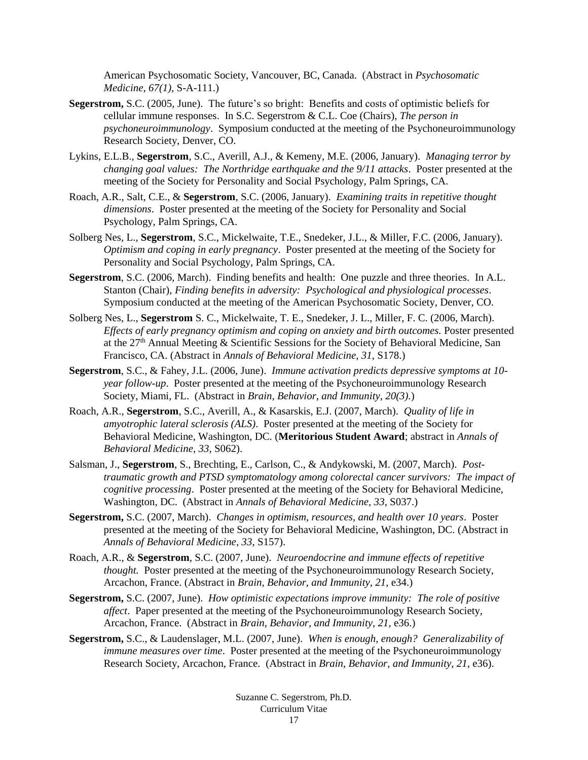American Psychosomatic Society, Vancouver, BC, Canada. (Abstract in *Psychosomatic Medicine, 67(1),* S-A-111.)

- **Segerstrom,** S.C. (2005, June). The future's so bright: Benefits and costs of optimistic beliefs for cellular immune responses. In S.C. Segerstrom & C.L. Coe (Chairs), *The person in psychoneuroimmunology*. Symposium conducted at the meeting of the Psychoneuroimmunology Research Society, Denver, CO.
- Lykins, E.L.B., **Segerstrom**, S.C., Averill, A.J., & Kemeny, M.E. (2006, January). *Managing terror by changing goal values: The Northridge earthquake and the 9/11 attacks*. Poster presented at the meeting of the Society for Personality and Social Psychology, Palm Springs, CA.
- Roach, A.R., Salt, C.E., & **Segerstrom**, S.C. (2006, January). *Examining traits in repetitive thought dimensions*. Poster presented at the meeting of the Society for Personality and Social Psychology, Palm Springs, CA.
- Solberg Nes, L., **Segerstrom**, S.C., Mickelwaite, T.E., Snedeker, J.L., & Miller, F.C. (2006, January). *Optimism and coping in early pregnancy*. Poster presented at the meeting of the Society for Personality and Social Psychology, Palm Springs, CA.
- **Segerstrom**, S.C. (2006, March). Finding benefits and health: One puzzle and three theories. In A.L. Stanton (Chair), *Finding benefits in adversity: Psychological and physiological processes*. Symposium conducted at the meeting of the American Psychosomatic Society, Denver, CO.
- Solberg Nes, L., **Segerstrom** S. C., Mickelwaite, T. E., Snedeker, J. L., Miller, F. C. (2006, March). *Effects of early pregnancy optimism and coping on anxiety and birth outcomes.* Poster presented at the  $27<sup>th</sup>$  Annual Meeting & Scientific Sessions for the Society of Behavioral Medicine, San Francisco, CA. (Abstract in *Annals of Behavioral Medicine, 31*, S178.)
- **Segerstrom**, S.C., & Fahey, J.L. (2006, June). *Immune activation predicts depressive symptoms at 10 year follow-up*. Poster presented at the meeting of the Psychoneuroimmunology Research Society, Miami, FL. (Abstract in *Brain, Behavior, and Immunity, 20(3).*)
- Roach, A.R., **Segerstrom**, S.C., Averill, A., & Kasarskis, E.J. (2007, March). *Quality of life in amyotrophic lateral sclerosis (ALS)*. Poster presented at the meeting of the Society for Behavioral Medicine, Washington, DC. (**Meritorious Student Award**; abstract in *Annals of Behavioral Medicine, 33*, S062).
- Salsman, J., **Segerstrom**, S., Brechting, E., Carlson, C., & Andykowski, M. (2007, March). *Posttraumatic growth and PTSD symptomatology among colorectal cancer survivors: The impact of cognitive processing*. Poster presented at the meeting of the Society for Behavioral Medicine, Washington, DC. (Abstract in *Annals of Behavioral Medicine, 33*, S037.)
- **Segerstrom,** S.C. (2007, March). *Changes in optimism, resources, and health over 10 years*. Poster presented at the meeting of the Society for Behavioral Medicine, Washington, DC. (Abstract in *Annals of Behavioral Medicine, 33*, S157).
- Roach, A.R., & **Segerstrom**, S.C. (2007, June). *Neuroendocrine and immune effects of repetitive thought.* Poster presented at the meeting of the Psychoneuroimmunology Research Society, Arcachon, France. (Abstract in *Brain, Behavior, and Immunity, 21,* e34.)
- **Segerstrom,** S.C. (2007, June). *How optimistic expectations improve immunity: The role of positive affect*. Paper presented at the meeting of the Psychoneuroimmunology Research Society, Arcachon, France. (Abstract in *Brain, Behavior, and Immunity, 21,* e36.)
- **Segerstrom,** S.C., & Laudenslager, M.L. (2007, June). *When is enough, enough? Generalizability of immune measures over time*. Poster presented at the meeting of the Psychoneuroimmunology Research Society, Arcachon, France. (Abstract in *Brain, Behavior, and Immunity, 21,* e36).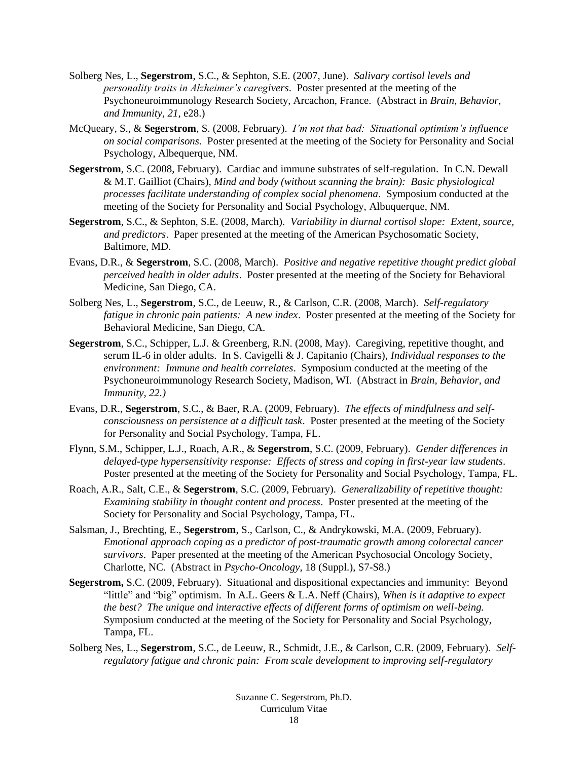- Solberg Nes, L., **Segerstrom**, S.C., & Sephton, S.E. (2007, June). *Salivary cortisol levels and personality traits in Alzheimer's caregivers*. Poster presented at the meeting of the Psychoneuroimmunology Research Society, Arcachon, France. (Abstract in *Brain, Behavior, and Immunity, 21,* e28.)
- McQueary, S., & **Segerstrom**, S. (2008, February). *I'm not that bad: Situational optimism's influence on social comparisons.* Poster presented at the meeting of the Society for Personality and Social Psychology, Albequerque, NM.
- **Segerstrom**, S.C. (2008, February). Cardiac and immune substrates of self-regulation. In C.N. Dewall & M.T. Gailliot (Chairs), *Mind and body (without scanning the brain): Basic physiological processes facilitate understanding of complex social phenomena*. Symposium conducted at the meeting of the Society for Personality and Social Psychology, Albuquerque, NM.
- **Segerstrom**, S.C., & Sephton, S.E. (2008, March). *Variability in diurnal cortisol slope: Extent, source, and predictors*. Paper presented at the meeting of the American Psychosomatic Society, Baltimore, MD.
- Evans, D.R., & **Segerstrom**, S.C. (2008, March). *Positive and negative repetitive thought predict global perceived health in older adults*. Poster presented at the meeting of the Society for Behavioral Medicine, San Diego, CA.
- Solberg Nes, L., **Segerstrom**, S.C., de Leeuw, R., & Carlson, C.R. (2008, March). *Self-regulatory fatigue in chronic pain patients: A new index*. Poster presented at the meeting of the Society for Behavioral Medicine, San Diego, CA.
- **Segerstrom**, S.C., Schipper, L.J. & Greenberg, R.N. (2008, May). Caregiving, repetitive thought, and serum IL-6 in older adults. In S. Cavigelli & J. Capitanio (Chairs), *Individual responses to the environment: Immune and health correlates*. Symposium conducted at the meeting of the Psychoneuroimmunology Research Society, Madison, WI. (Abstract in *Brain, Behavior, and Immunity, 22.)*
- Evans, D.R., **Segerstrom**, S.C., & Baer, R.A. (2009, February). *The effects of mindfulness and selfconsciousness on persistence at a difficult task*. Poster presented at the meeting of the Society for Personality and Social Psychology, Tampa, FL.
- Flynn, S.M., Schipper, L.J., Roach, A.R., & **Segerstrom**, S.C. (2009, February). *Gender differences in delayed-type hypersensitivity response: Effects of stress and coping in first-year law students*. Poster presented at the meeting of the Society for Personality and Social Psychology, Tampa, FL.
- Roach, A.R., Salt, C.E., & **Segerstrom**, S.C. (2009, February). *Generalizability of repetitive thought: Examining stability in thought content and process*. Poster presented at the meeting of the Society for Personality and Social Psychology, Tampa, FL.
- Salsman, J., Brechting, E., **Segerstrom**, S., Carlson, C., & Andrykowski, M.A. (2009, February). *Emotional approach coping as a predictor of post-traumatic growth among colorectal cancer survivors*. Paper presented at the meeting of the American Psychosocial Oncology Society, Charlotte, NC. (Abstract in *Psycho-Oncology*, 18 (Suppl.), S7-S8.)
- **Segerstrom,** S.C. (2009, February). Situational and dispositional expectancies and immunity: Beyond "little" and "big" optimism. In A.L. Geers & L.A. Neff (Chairs), *When is it adaptive to expect the best? The unique and interactive effects of different forms of optimism on well-being.*  Symposium conducted at the meeting of the Society for Personality and Social Psychology, Tampa, FL.
- Solberg Nes, L., **Segerstrom**, S.C., de Leeuw, R., Schmidt, J.E., & Carlson, C.R. (2009, February). *Selfregulatory fatigue and chronic pain: From scale development to improving self-regulatory*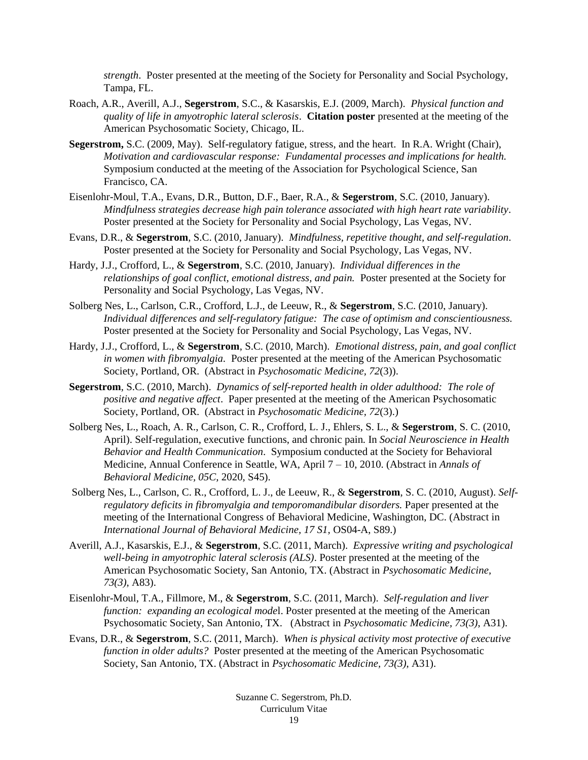*strength*. Poster presented at the meeting of the Society for Personality and Social Psychology, Tampa, FL.

- Roach, A.R., Averill, A.J., **Segerstrom**, S.C., & Kasarskis, E.J. (2009, March). *Physical function and quality of life in amyotrophic lateral sclerosis*. **Citation poster** presented at the meeting of the American Psychosomatic Society, Chicago, IL.
- **Segerstrom,** S.C. (2009, May). Self-regulatory fatigue, stress, and the heart. In R.A. Wright (Chair), *Motivation and cardiovascular response: Fundamental processes and implications for health.*  Symposium conducted at the meeting of the Association for Psychological Science, San Francisco, CA.
- Eisenlohr-Moul, T.A., Evans, D.R., Button, D.F., Baer, R.A., & **Segerstrom**, S.C. (2010, January). *Mindfulness strategies decrease high pain tolerance associated with high heart rate variability*. Poster presented at the Society for Personality and Social Psychology, Las Vegas, NV.
- Evans, D.R., & **Segerstrom**, S.C. (2010, January). *Mindfulness, repetitive thought, and self-regulation*. Poster presented at the Society for Personality and Social Psychology, Las Vegas, NV.
- Hardy, J.J., Crofford, L., & **Segerstrom**, S.C. (2010, January). *Individual differences in the relationships of goal conflict, emotional distress, and pain.* Poster presented at the Society for Personality and Social Psychology, Las Vegas, NV.
- Solberg Nes, L., Carlson, C.R., Crofford, L.J., de Leeuw, R., & **Segerstrom**, S.C. (2010, January). *Individual differences and self-regulatory fatigue: The case of optimism and conscientiousness.*  Poster presented at the Society for Personality and Social Psychology, Las Vegas, NV.
- Hardy, J.J., Crofford, L., & **Segerstrom**, S.C. (2010, March). *Emotional distress, pain, and goal conflict in women with fibromyalgia.* Poster presented at the meeting of the American Psychosomatic Society, Portland, OR. (Abstract in *Psychosomatic Medicine, 72*(3)).
- **Segerstrom**, S.C. (2010, March). *Dynamics of self-reported health in older adulthood: The role of positive and negative affect*. Paper presented at the meeting of the American Psychosomatic Society, Portland, OR. (Abstract in *Psychosomatic Medicine, 72*(3).)
- Solberg Nes, L., Roach, A. R., Carlson, C. R., Crofford, L. J., Ehlers, S. L., & **Segerstrom**, S. C. (2010, April). Self-regulation, executive functions, and chronic pain*.* In *Social Neuroscience in Health Behavior and Health Communication*. Symposium conducted at the Society for Behavioral Medicine, Annual Conference in Seattle, WA, April 7 – 10, 2010. (Abstract in *Annals of Behavioral Medicine, 05C,* 2020, S45).
- Solberg Nes, L., Carlson, C. R., Crofford, L. J., de Leeuw, R., & **Segerstrom**, S. C. (2010, August). *Selfregulatory deficits in fibromyalgia and temporomandibular disorders.* Paper presented at the meeting of the International Congress of Behavioral Medicine, Washington, DC. (Abstract in *International Journal of Behavioral Medicine, 17 S1,* OS04-A, S89.)
- Averill, A.J., Kasarskis, E.J., & **Segerstrom**, S.C. (2011, March). *Expressive writing and psychological well-being in amyotrophic lateral sclerosis (ALS)*. Poster presented at the meeting of the American Psychosomatic Society, San Antonio, TX. (Abstract in *Psychosomatic Medicine, 73(3)*, A83).
- Eisenlohr-Moul, T.A., Fillmore, M., & **Segerstrom**, S.C. (2011, March). *Self-regulation and liver function: expanding an ecological mode*l. Poster presented at the meeting of the American Psychosomatic Society, San Antonio, TX. (Abstract in *Psychosomatic Medicine, 73(3)*, A31).
- Evans, D.R., & **Segerstrom**, S.C. (2011, March). *When is physical activity most protective of executive function in older adults?* Poster presented at the meeting of the American Psychosomatic Society, San Antonio, TX. (Abstract in *Psychosomatic Medicine, 73(3)*, A31).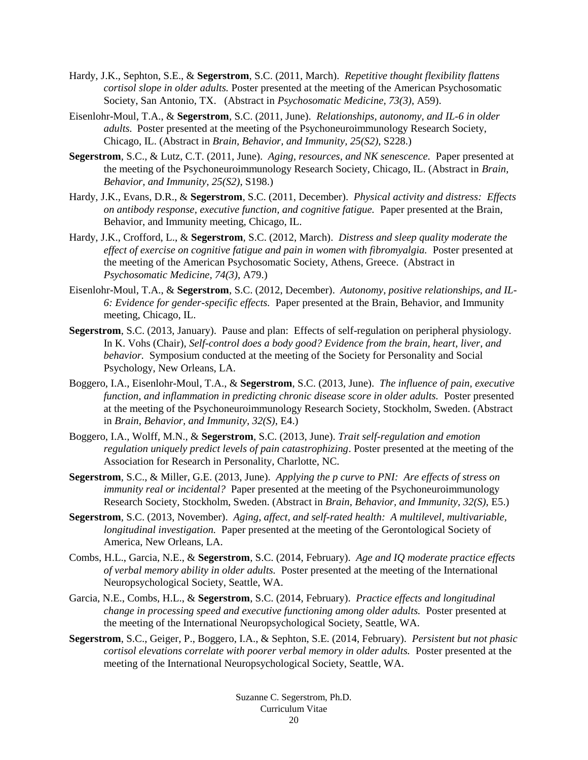- Hardy, J.K., Sephton, S.E., & **Segerstrom**, S.C. (2011, March). *Repetitive thought flexibility flattens cortisol slope in older adults.* Poster presented at the meeting of the American Psychosomatic Society, San Antonio, TX. (Abstract in *Psychosomatic Medicine, 73(3)*, A59).
- Eisenlohr-Moul, T.A., & **Segerstrom**, S.C. (2011, June). *Relationships, autonomy, and IL-6 in older adults.* Poster presented at the meeting of the Psychoneuroimmunology Research Society, Chicago, IL. (Abstract in *Brain, Behavior, and Immunity, 25(S2)*, S228.)
- **Segerstrom**, S.C., & Lutz, C.T. (2011, June). *Aging, resources, and NK senescence.* Paper presented at the meeting of the Psychoneuroimmunology Research Society, Chicago, IL. (Abstract in *Brain, Behavior, and Immunity, 25(S2)*, S198.)
- Hardy, J.K., Evans, D.R., & **Segerstrom**, S.C. (2011, December). *Physical activity and distress: Effects on antibody response, executive function, and cognitive fatigue.* Paper presented at the Brain, Behavior, and Immunity meeting, Chicago, IL.
- Hardy, J.K., Crofford, L., & **Segerstrom**, S.C. (2012, March). *Distress and sleep quality moderate the effect of exercise on cognitive fatigue and pain in women with fibromyalgia.* Poster presented at the meeting of the American Psychosomatic Society, Athens, Greece. (Abstract in *Psychosomatic Medicine, 74(3)*, A79.)
- Eisenlohr-Moul, T.A., & **Segerstrom**, S.C. (2012, December). *Autonomy, positive relationships, and IL-6: Evidence for gender-specific effects.* Paper presented at the Brain, Behavior, and Immunity meeting, Chicago, IL.
- **Segerstrom**, S.C. (2013, January). Pause and plan: Effects of self-regulation on peripheral physiology. In K. Vohs (Chair), *Self-control does a body good? Evidence from the brain, heart, liver, and behavior.* Symposium conducted at the meeting of the Society for Personality and Social Psychology, New Orleans, LA.
- Boggero, I.A., Eisenlohr-Moul, T.A., & **Segerstrom**, S.C. (2013, June). *The influence of pain, executive function, and inflammation in predicting chronic disease score in older adults.* Poster presented at the meeting of the Psychoneuroimmunology Research Society, Stockholm, Sweden. (Abstract in *Brain, Behavior, and Immunity, 32(S)*, E4.)
- Boggero, I.A., Wolff, M.N., & **Segerstrom**, S.C. (2013, June). *Trait self-regulation and emotion regulation uniquely predict levels of pain catastrophizing*. Poster presented at the meeting of the Association for Research in Personality, Charlotte, NC.
- **Segerstrom**, S.C., & Miller, G.E. (2013, June). *Applying the p curve to PNI: Are effects of stress on immunity real or incidental?* Paper presented at the meeting of the Psychoneuroimmunology Research Society, Stockholm, Sweden. (Abstract in *Brain, Behavior, and Immunity, 32(S),* E5.)
- **Segerstrom**, S.C. (2013, November). *Aging, affect, and self-rated health: A multilevel, multivariable, longitudinal investigation.* Paper presented at the meeting of the Gerontological Society of America, New Orleans, LA.
- Combs, H.L., Garcia, N.E., & **Segerstrom**, S.C. (2014, February).*Age and IQ moderate practice effects of verbal memory ability in older adults.* Poster presented at the meeting of the International Neuropsychological Society, Seattle, WA.
- Garcia, N.E., Combs, H.L., & **Segerstrom**, S.C. (2014, February). *Practice effects and longitudinal change in processing speed and executive functioning among older adults.* Poster presented at the meeting of the International Neuropsychological Society, Seattle, WA.
- **Segerstrom**, S.C., Geiger, P., Boggero, I.A., & Sephton, S.E. (2014, February). *Persistent but not phasic cortisol elevations correlate with poorer verbal memory in older adults.* Poster presented at the meeting of the International Neuropsychological Society, Seattle, WA.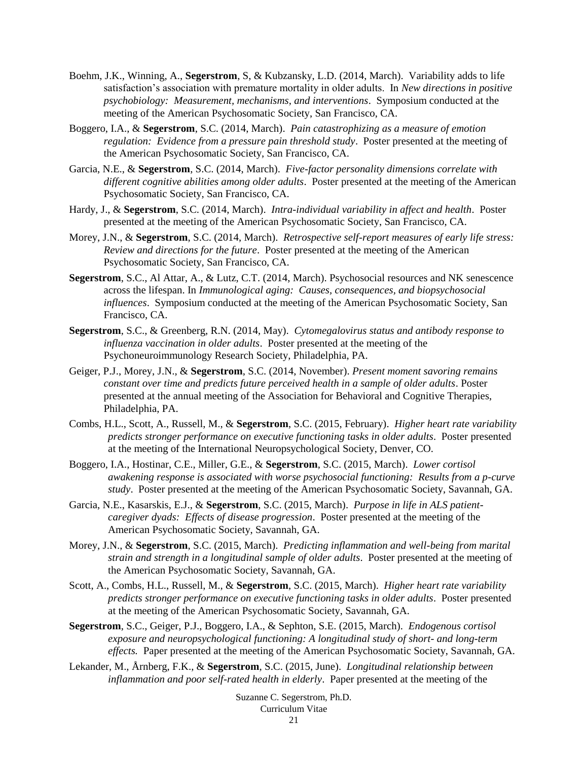- Boehm, J.K., Winning, A., **Segerstrom**, S, & Kubzansky, L.D. (2014, March). Variability adds to life satisfaction's association with premature mortality in older adults. In *New directions in positive psychobiology: Measurement, mechanisms, and interventions*. Symposium conducted at the meeting of the American Psychosomatic Society, San Francisco, CA.
- Boggero, I.A., & **Segerstrom**, S.C. (2014, March). *Pain catastrophizing as a measure of emotion regulation: Evidence from a pressure pain threshold study*. Poster presented at the meeting of the American Psychosomatic Society, San Francisco, CA.
- Garcia, N.E., & **Segerstrom**, S.C. (2014, March). *Five-factor personality dimensions correlate with different cognitive abilities among older adults*. Poster presented at the meeting of the American Psychosomatic Society, San Francisco, CA.
- Hardy, J., & **Segerstrom**, S.C. (2014, March). *Intra-individual variability in affect and health*. Poster presented at the meeting of the American Psychosomatic Society, San Francisco, CA.
- Morey, J.N., & **Segerstrom**, S.C. (2014, March). *Retrospective self-report measures of early life stress: Review and directions for the future*. Poster presented at the meeting of the American Psychosomatic Society, San Francisco, CA.
- **Segerstrom**, S.C., Al Attar, A., & Lutz, C.T. (2014, March). Psychosocial resources and NK senescence across the lifespan. In *Immunological aging: Causes, consequences, and biopsychosocial influences*. Symposium conducted at the meeting of the American Psychosomatic Society, San Francisco, CA.
- **Segerstrom**, S.C., & Greenberg, R.N. (2014, May). *Cytomegalovirus status and antibody response to influenza vaccination in older adults*. Poster presented at the meeting of the Psychoneuroimmunology Research Society, Philadelphia, PA.
- Geiger, P.J., Morey, J.N., & **Segerstrom**, S.C. (2014, November). *Present moment savoring remains constant over time and predicts future perceived health in a sample of older adults*. Poster presented at the annual meeting of the Association for Behavioral and Cognitive Therapies, Philadelphia, PA.
- Combs, H.L., Scott, A., Russell, M., & **Segerstrom**, S.C. (2015, February). *Higher heart rate variability predicts stronger performance on executive functioning tasks in older adults*. Poster presented at the meeting of the International Neuropsychological Society, Denver, CO.
- Boggero, I.A., Hostinar, C.E., Miller, G.E., & **Segerstrom**, S.C. (2015, March). *Lower cortisol awakening response is associated with worse psychosocial functioning: Results from a p-curve study*. Poster presented at the meeting of the American Psychosomatic Society, Savannah, GA.
- Garcia, N.E., Kasarskis, E.J., & **Segerstrom**, S.C. (2015, March). *Purpose in life in ALS patientcaregiver dyads: Effects of disease progression*. Poster presented at the meeting of the American Psychosomatic Society, Savannah, GA.
- Morey, J.N., & **Segerstrom**, S.C. (2015, March). *Predicting inflammation and well-being from marital strain and strength in a longitudinal sample of older adults*. Poster presented at the meeting of the American Psychosomatic Society, Savannah, GA.
- Scott, A., Combs, H.L., Russell, M., & **Segerstrom**, S.C. (2015, March). *Higher heart rate variability predicts stronger performance on executive functioning tasks in older adults*. Poster presented at the meeting of the American Psychosomatic Society, Savannah, GA.
- **Segerstrom**, S.C., Geiger, P.J., Boggero, I.A., & Sephton, S.E. (2015, March). *Endogenous cortisol exposure and neuropsychological functioning: A longitudinal study of short- and long-term effects.* Paper presented at the meeting of the American Psychosomatic Society, Savannah, GA.
- Lekander, M., Årnberg, F.K., & **Segerstrom**, S.C. (2015, June). *Longitudinal relationship between inflammation and poor self-rated health in elderly*. Paper presented at the meeting of the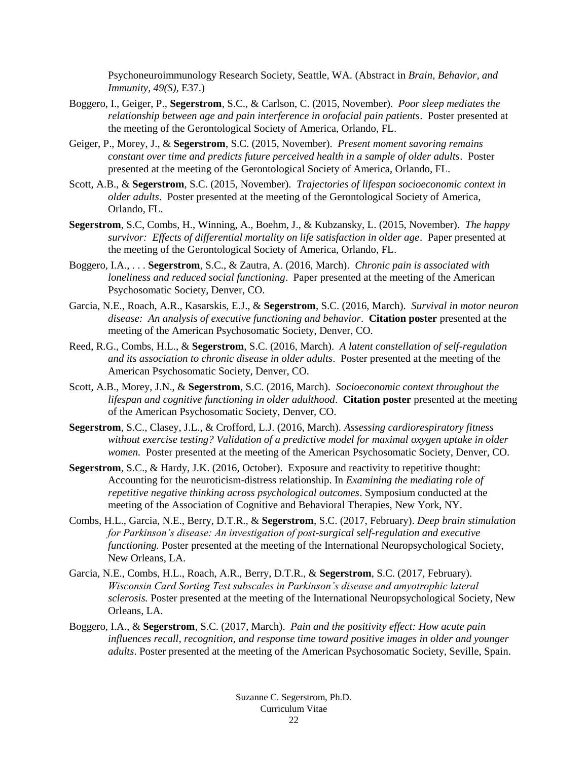Psychoneuroimmunology Research Society, Seattle, WA. (Abstract in *Brain, Behavior, and Immunity, 49(S),* E37.)

- Boggero, I., Geiger, P., **Segerstrom**, S.C., & Carlson, C. (2015, November). *Poor sleep mediates the relationship between age and pain interference in orofacial pain patients*. Poster presented at the meeting of the Gerontological Society of America, Orlando, FL.
- Geiger, P., Morey, J., & **Segerstrom**, S.C. (2015, November). *Present moment savoring remains constant over time and predicts future perceived health in a sample of older adults*. Poster presented at the meeting of the Gerontological Society of America, Orlando, FL.
- Scott, A.B., & **Segerstrom**, S.C. (2015, November). *Trajectories of lifespan socioeconomic context in older adults*. Poster presented at the meeting of the Gerontological Society of America, Orlando, FL.
- **Segerstrom**, S.C, Combs, H., Winning, A., Boehm, J., & Kubzansky, L. (2015, November). *The happy survivor: Effects of differential mortality on life satisfaction in older age*. Paper presented at the meeting of the Gerontological Society of America, Orlando, FL.
- Boggero, I.A., . . . **Segerstrom**, S.C., & Zautra, A. (2016, March). *Chronic pain is associated with loneliness and reduced social functioning*. Paper presented at the meeting of the American Psychosomatic Society, Denver, CO.
- Garcia, N.E., Roach, A.R., Kasarskis, E.J., & **Segerstrom**, S.C. (2016, March). *Survival in motor neuron disease: An analysis of executive functioning and behavior*. **Citation poster** presented at the meeting of the American Psychosomatic Society, Denver, CO.
- Reed, R.G., Combs, H.L., & **Segerstrom**, S.C. (2016, March). *A latent constellation of self-regulation and its association to chronic disease in older adults*. Poster presented at the meeting of the American Psychosomatic Society, Denver, CO.
- Scott, A.B., Morey, J.N., & **Segerstrom**, S.C. (2016, March). *Socioeconomic context throughout the lifespan and cognitive functioning in older adulthood*. **Citation poster** presented at the meeting of the American Psychosomatic Society, Denver, CO.
- **Segerstrom**, S.C., Clasey, J.L., & Crofford, L.J. (2016, March). *Assessing cardiorespiratory fitness without exercise testing? Validation of a predictive model for maximal oxygen uptake in older women.* Poster presented at the meeting of the American Psychosomatic Society, Denver, CO.
- **Segerstrom**, S.C., & Hardy, J.K. (2016, October). Exposure and reactivity to repetitive thought: Accounting for the neuroticism-distress relationship. In *Examining the mediating role of repetitive negative thinking across psychological outcomes*. Symposium conducted at the meeting of the Association of Cognitive and Behavioral Therapies, New York, NY.
- Combs, H.L., Garcia, N.E., Berry, D.T.R., & **Segerstrom**, S.C. (2017, February). *Deep brain stimulation for Parkinson's disease: An investigation of post-surgical self-regulation and executive functioning.* Poster presented at the meeting of the International Neuropsychological Society, New Orleans, LA.
- Garcia, N.E., Combs, H.L., Roach, A.R., Berry, D.T.R., & **Segerstrom**, S.C. (2017, February). *Wisconsin Card Sorting Test subscales in Parkinson's disease and amyotrophic lateral sclerosis.* Poster presented at the meeting of the International Neuropsychological Society, New Orleans, LA.
- Boggero, I.A., & **Segerstrom**, S.C. (2017, March). *Pain and the positivity effect: How acute pain influences recall, recognition, and response time toward positive images in older and younger adults*. Poster presented at the meeting of the American Psychosomatic Society, Seville, Spain.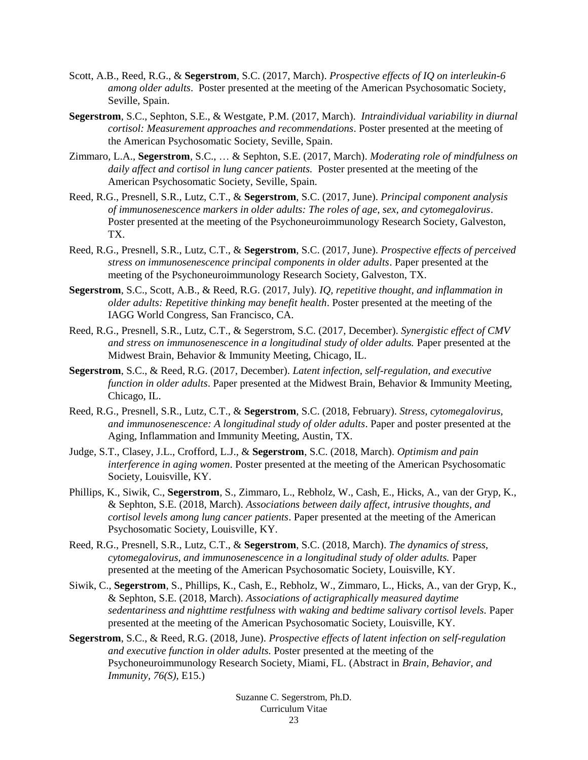- Scott, A.B., Reed, R.G., & **Segerstrom**, S.C. (2017, March). *Prospective effects of IQ on interleukin-6 among older adults*. Poster presented at the meeting of the American Psychosomatic Society, Seville, Spain.
- **Segerstrom**, S.C., Sephton, S.E., & Westgate, P.M. (2017, March). *Intraindividual variability in diurnal cortisol: Measurement approaches and recommendations*. Poster presented at the meeting of the American Psychosomatic Society, Seville, Spain.
- Zimmaro, L.A., **Segerstrom**, S.C., … & Sephton, S.E. (2017, March). *Moderating role of mindfulness on daily affect and cortisol in lung cancer patients.* Poster presented at the meeting of the American Psychosomatic Society, Seville, Spain.
- Reed, R.G., Presnell, S.R., Lutz, C.T., & **Segerstrom**, S.C. (2017, June). *Principal component analysis of immunosenescence markers in older adults: The roles of age, sex, and cytomegalovirus*. Poster presented at the meeting of the Psychoneuroimmunology Research Society, Galveston, TX.
- Reed, R.G., Presnell, S.R., Lutz, C.T., & **Segerstrom**, S.C. (2017, June). *Prospective effects of perceived stress on immunosenescence principal components in older adults*. Paper presented at the meeting of the Psychoneuroimmunology Research Society, Galveston, TX.
- **Segerstrom**, S.C., Scott, A.B., & Reed, R.G. (2017, July). *IQ, repetitive thought, and inflammation in older adults: Repetitive thinking may benefit health*. Poster presented at the meeting of the IAGG World Congress, San Francisco, CA.
- Reed, R.G., Presnell, S.R., Lutz, C.T., & Segerstrom, S.C. (2017, December). *Synergistic effect of CMV and stress on immunosenescence in a longitudinal study of older adults.* Paper presented at the Midwest Brain, Behavior & Immunity Meeting, Chicago, IL.
- **Segerstrom**, S.C., & Reed, R.G. (2017, December). *Latent infection, self-regulation, and executive function in older adults*. Paper presented at the Midwest Brain, Behavior & Immunity Meeting, Chicago, IL.
- Reed, R.G., Presnell, S.R., Lutz, C.T., & **Segerstrom**, S.C. (2018, February). *Stress, cytomegalovirus, and immunosenescence: A longitudinal study of older adults*. Paper and poster presented at the Aging, Inflammation and Immunity Meeting, Austin, TX.
- Judge, S.T., Clasey, J.L., Crofford, L.J., & **Segerstrom**, S.C. (2018, March). *Optimism and pain interference in aging women*. Poster presented at the meeting of the American Psychosomatic Society, Louisville, KY.
- Phillips, K., Siwik, C., **Segerstrom**, S., Zimmaro, L., Rebholz, W., Cash, E., Hicks, A., van der Gryp, K., & Sephton, S.E. (2018, March). *Associations between daily affect, intrusive thoughts, and cortisol levels among lung cancer patients*. Paper presented at the meeting of the American Psychosomatic Society, Louisville, KY.
- Reed, R.G., Presnell, S.R., Lutz, C.T., & **Segerstrom**, S.C. (2018, March). *The dynamics of stress, cytomegalovirus, and immunosenescence in a longitudinal study of older adults.* Paper presented at the meeting of the American Psychosomatic Society, Louisville, KY.
- Siwik, C., **Segerstrom**, S., Phillips, K., Cash, E., Rebholz, W., Zimmaro, L., Hicks, A., van der Gryp, K., & Sephton, S.E. (2018, March). *Associations of actigraphically measured daytime sedentariness and nighttime restfulness with waking and bedtime salivary cortisol levels.* Paper presented at the meeting of the American Psychosomatic Society, Louisville, KY.
- **Segerstrom**, S.C., & Reed, R.G. (2018, June). *Prospective effects of latent infection on self-regulation and executive function in older adults.* Poster presented at the meeting of the Psychoneuroimmunology Research Society, Miami, FL. (Abstract in *Brain, Behavior, and Immunity, 76(S),* E15.)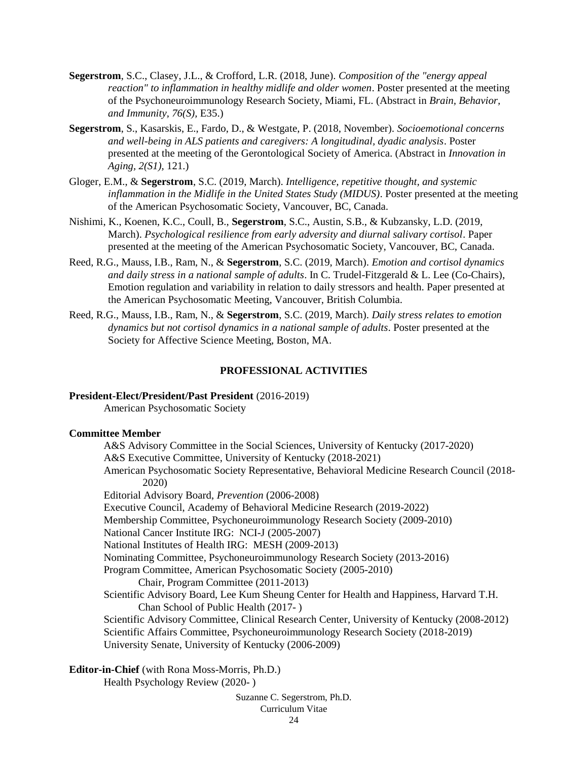- **Segerstrom**, S.C., Clasey, J.L., & Crofford, L.R. (2018, June). *Composition of the "energy appeal reaction" to inflammation in healthy midlife and older women*. Poster presented at the meeting of the Psychoneuroimmunology Research Society, Miami, FL. (Abstract in *Brain, Behavior, and Immunity, 76(S),* E35.)
- **Segerstrom**, S., Kasarskis, E., Fardo, D., & Westgate, P. (2018, November). *Socioemotional concerns and well-being in ALS patients and caregivers: A longitudinal, dyadic analysis*. Poster presented at the meeting of the Gerontological Society of America. (Abstract in *Innovation in Aging, 2(S1),* 121.)
- Gloger, E.M., & **Segerstrom**, S.C. (2019, March). *Intelligence, repetitive thought, and systemic inflammation in the Midlife in the United States Study (MIDUS)*. Poster presented at the meeting of the American Psychosomatic Society, Vancouver, BC, Canada.
- Nishimi, K., Koenen, K.C., Coull, B., **Segerstrom**, S.C., Austin, S.B., & Kubzansky, L.D. (2019, March). *Psychological resilience from early adversity and diurnal salivary cortisol*. Paper presented at the meeting of the American Psychosomatic Society, Vancouver, BC, Canada.
- Reed, R.G., Mauss, I.B., Ram, N., & **Segerstrom**, S.C. (2019, March). *Emotion and cortisol dynamics and daily stress in a national sample of adults*. In C. Trudel-Fitzgerald & L. Lee (Co-Chairs), Emotion regulation and variability in relation to daily stressors and health. Paper presented at the American Psychosomatic Meeting, Vancouver, British Columbia.
- Reed, R.G., Mauss, I.B., Ram, N., & **Segerstrom**, S.C. (2019, March). *Daily stress relates to emotion dynamics but not cortisol dynamics in a national sample of adults*. Poster presented at the Society for Affective Science Meeting, Boston, MA.

## **PROFESSIONAL ACTIVITIES**

#### **President-Elect/President/Past President** (2016-2019)

American Psychosomatic Society

#### **Committee Member**

A&S Advisory Committee in the Social Sciences, University of Kentucky (2017-2020) A&S Executive Committee, University of Kentucky (2018-2021) American Psychosomatic Society Representative, Behavioral Medicine Research Council (2018- 2020) Editorial Advisory Board, *Prevention* (2006-2008) Executive Council, Academy of Behavioral Medicine Research (2019-2022) Membership Committee, Psychoneuroimmunology Research Society (2009-2010) National Cancer Institute IRG: NCI-J (2005-2007) National Institutes of Health IRG: MESH (2009-2013) Nominating Committee, Psychoneuroimmunology Research Society (2013-2016) Program Committee, American Psychosomatic Society (2005-2010) Chair, Program Committee (2011-2013) Scientific Advisory Board, Lee Kum Sheung Center for Health and Happiness, Harvard T.H. Chan School of Public Health (2017- ) Scientific Advisory Committee, Clinical Research Center, University of Kentucky (2008-2012) Scientific Affairs Committee, Psychoneuroimmunology Research Society (2018-2019) University Senate, University of Kentucky (2006-2009)

**Editor-in-Chief** (with Rona Moss-Morris, Ph.D.)

Health Psychology Review (2020- )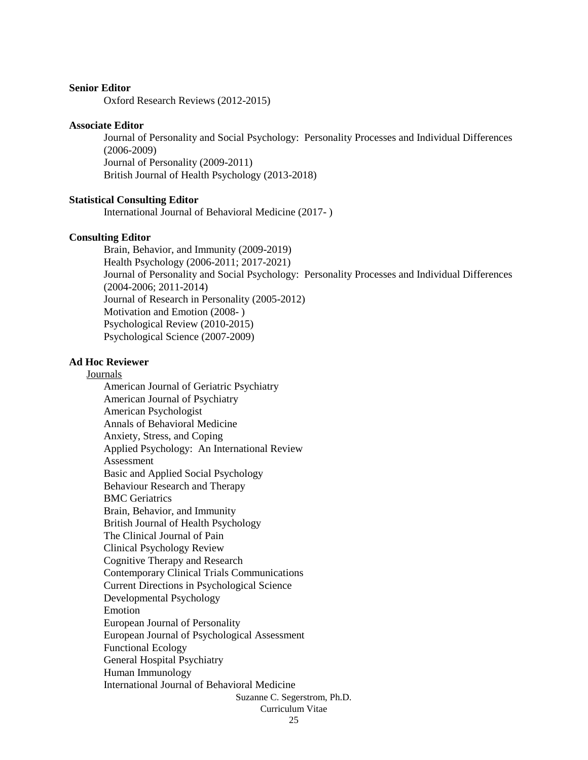#### **Senior Editor**

Oxford Research Reviews (2012-2015)

#### **Associate Editor**

Journal of Personality and Social Psychology: Personality Processes and Individual Differences (2006-2009) Journal of Personality (2009-2011) British Journal of Health Psychology (2013-2018)

#### **Statistical Consulting Editor**

International Journal of Behavioral Medicine (2017- )

#### **Consulting Editor**

Brain, Behavior, and Immunity (2009-2019) Health Psychology (2006-2011; 2017-2021) Journal of Personality and Social Psychology: Personality Processes and Individual Differences (2004-2006; 2011-2014) Journal of Research in Personality (2005-2012) Motivation and Emotion (2008- ) Psychological Review (2010-2015) Psychological Science (2007-2009)

#### **Ad Hoc Reviewer**

Journals

Suzanne C. Segerstrom, Ph.D. Curriculum Vitae American Journal of Geriatric Psychiatry American Journal of Psychiatry American Psychologist Annals of Behavioral Medicine Anxiety, Stress, and Coping Applied Psychology: An International Review Assessment Basic and Applied Social Psychology Behaviour Research and Therapy BMC Geriatrics Brain, Behavior, and Immunity British Journal of Health Psychology The Clinical Journal of Pain Clinical Psychology Review Cognitive Therapy and Research Contemporary Clinical Trials Communications Current Directions in Psychological Science Developmental Psychology Emotion European Journal of Personality European Journal of Psychological Assessment Functional Ecology General Hospital Psychiatry Human Immunology International Journal of Behavioral Medicine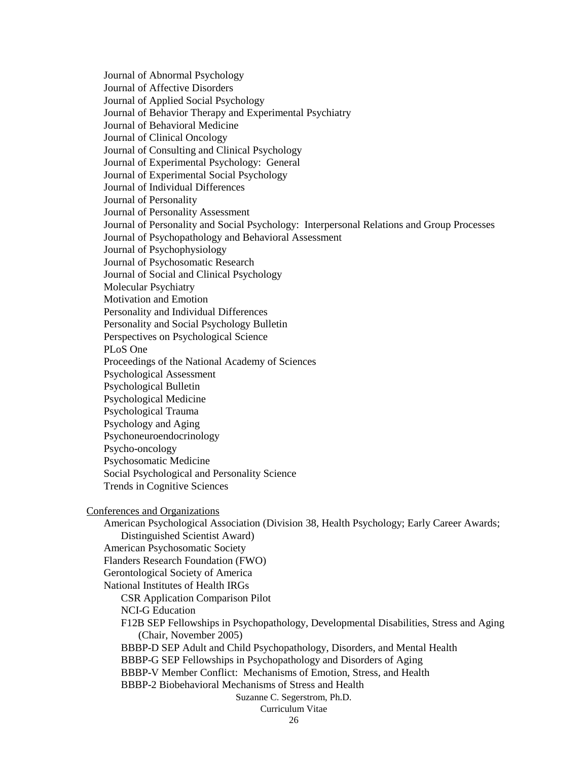Journal of Abnormal Psychology Journal of Affective Disorders Journal of Applied Social Psychology Journal of Behavior Therapy and Experimental Psychiatry Journal of Behavioral Medicine Journal of Clinical Oncology Journal of Consulting and Clinical Psychology Journal of Experimental Psychology: General Journal of Experimental Social Psychology Journal of Individual Differences Journal of Personality Journal of Personality Assessment Journal of Personality and Social Psychology: Interpersonal Relations and Group Processes Journal of Psychopathology and Behavioral Assessment Journal of Psychophysiology Journal of Psychosomatic Research Journal of Social and Clinical Psychology Molecular Psychiatry Motivation and Emotion Personality and Individual Differences Personality and Social Psychology Bulletin Perspectives on Psychological Science PLoS One Proceedings of the National Academy of Sciences Psychological Assessment Psychological Bulletin Psychological Medicine Psychological Trauma Psychology and Aging Psychoneuroendocrinology Psycho-oncology Psychosomatic Medicine Social Psychological and Personality Science Trends in Cognitive Sciences Conferences and Organizations American Psychological Association (Division 38, Health Psychology; Early Career Awards; Distinguished Scientist Award) American Psychosomatic Society Flanders Research Foundation (FWO) Gerontological Society of America National Institutes of Health IRGs CSR Application Comparison Pilot NCI-G Education F12B SEP Fellowships in Psychopathology, Developmental Disabilities, Stress and Aging (Chair, November 2005) BBBP-D SEP Adult and Child Psychopathology, Disorders, and Mental Health BBBP-G SEP Fellowships in Psychopathology and Disorders of Aging

BBBP-V Member Conflict: Mechanisms of Emotion, Stress, and Health

BBBP-2 Biobehavioral Mechanisms of Stress and Health

# Suzanne C. Segerstrom, Ph.D.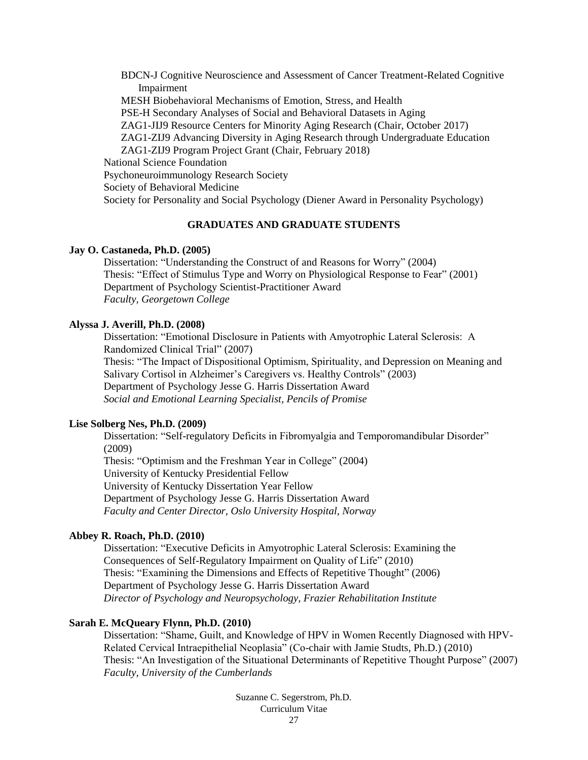BDCN-J Cognitive Neuroscience and Assessment of Cancer Treatment-Related Cognitive Impairment MESH Biobehavioral Mechanisms of Emotion, Stress, and Health PSE-H Secondary Analyses of Social and Behavioral Datasets in Aging ZAG1-JIJ9 Resource Centers for Minority Aging Research (Chair, October 2017) ZAG1-ZIJ9 Advancing Diversity in Aging Research through Undergraduate Education ZAG1-ZIJ9 Program Project Grant (Chair, February 2018) National Science Foundation Psychoneuroimmunology Research Society Society of Behavioral Medicine Society for Personality and Social Psychology (Diener Award in Personality Psychology)

# **GRADUATES AND GRADUATE STUDENTS**

#### **Jay O. Castaneda, Ph.D. (2005)**

Dissertation: "Understanding the Construct of and Reasons for Worry" (2004) Thesis: "Effect of Stimulus Type and Worry on Physiological Response to Fear" (2001) Department of Psychology Scientist-Practitioner Award *Faculty, Georgetown College*

#### **Alyssa J. Averill, Ph.D. (2008)**

Dissertation: "Emotional Disclosure in Patients with Amyotrophic Lateral Sclerosis: A Randomized Clinical Trial" (2007) Thesis: "The Impact of Dispositional Optimism, Spirituality, and Depression on Meaning and Salivary Cortisol in Alzheimer's Caregivers vs. Healthy Controls" (2003) Department of Psychology Jesse G. Harris Dissertation Award *Social and Emotional Learning Specialist, Pencils of Promise*

# **Lise Solberg Nes, Ph.D. (2009)**

Dissertation: "Self-regulatory Deficits in Fibromyalgia and Temporomandibular Disorder" (2009) Thesis: "Optimism and the Freshman Year in College" (2004) University of Kentucky Presidential Fellow University of Kentucky Dissertation Year Fellow Department of Psychology Jesse G. Harris Dissertation Award

*Faculty and Center Director, Oslo University Hospital, Norway*

# **Abbey R. Roach, Ph.D. (2010)**

Dissertation: "Executive Deficits in Amyotrophic Lateral Sclerosis: Examining the Consequences of Self-Regulatory Impairment on Quality of Life" (2010) Thesis: "Examining the Dimensions and Effects of Repetitive Thought" (2006) Department of Psychology Jesse G. Harris Dissertation Award *Director of Psychology and Neuropsychology, Frazier Rehabilitation Institute* 

# **Sarah E. McQueary Flynn, Ph.D. (2010)**

Dissertation: "Shame, Guilt, and Knowledge of HPV in Women Recently Diagnosed with HPV-Related Cervical Intraepithelial Neoplasia" (Co-chair with Jamie Studts, Ph.D.) (2010) Thesis: "An Investigation of the Situational Determinants of Repetitive Thought Purpose" (2007) *Faculty, University of the Cumberlands*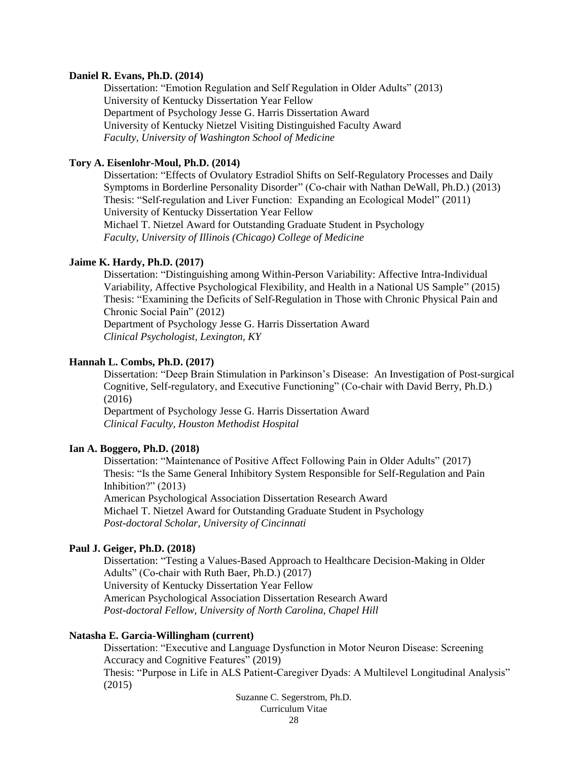#### **Daniel R. Evans, Ph.D. (2014)**

Dissertation: "Emotion Regulation and Self Regulation in Older Adults" (2013) University of Kentucky Dissertation Year Fellow Department of Psychology Jesse G. Harris Dissertation Award University of Kentucky Nietzel Visiting Distinguished Faculty Award *Faculty, University of Washington School of Medicine*

#### **Tory A. Eisenlohr-Moul, Ph.D. (2014)**

Dissertation: "Effects of Ovulatory Estradiol Shifts on Self-Regulatory Processes and Daily Symptoms in Borderline Personality Disorder" (Co-chair with Nathan DeWall, Ph.D.) (2013) Thesis: "Self-regulation and Liver Function: Expanding an Ecological Model" (2011) University of Kentucky Dissertation Year Fellow Michael T. Nietzel Award for Outstanding Graduate Student in Psychology *Faculty, University of Illinois (Chicago) College of Medicine*

#### **Jaime K. Hardy, Ph.D. (2017)**

Dissertation: "Distinguishing among Within-Person Variability: Affective Intra-Individual Variability, Affective Psychological Flexibility, and Health in a National US Sample" (2015) Thesis: "Examining the Deficits of Self-Regulation in Those with Chronic Physical Pain and Chronic Social Pain" (2012)

Department of Psychology Jesse G. Harris Dissertation Award *Clinical Psychologist, Lexington, KY*

#### **Hannah L. Combs, Ph.D. (2017)**

Dissertation: "Deep Brain Stimulation in Parkinson's Disease: An Investigation of Post-surgical Cognitive, Self-regulatory, and Executive Functioning" (Co-chair with David Berry, Ph.D.) (2016)

Department of Psychology Jesse G. Harris Dissertation Award *Clinical Faculty, Houston Methodist Hospital*

# **Ian A. Boggero, Ph.D. (2018)**

Dissertation: "Maintenance of Positive Affect Following Pain in Older Adults" (2017) Thesis: "Is the Same General Inhibitory System Responsible for Self-Regulation and Pain Inhibition?" (2013) American Psychological Association Dissertation Research Award Michael T. Nietzel Award for Outstanding Graduate Student in Psychology *Post-doctoral Scholar, University of Cincinnati*

# **Paul J. Geiger, Ph.D. (2018)**

Dissertation: "Testing a Values-Based Approach to Healthcare Decision-Making in Older Adults" (Co-chair with Ruth Baer, Ph.D.) (2017) University of Kentucky Dissertation Year Fellow American Psychological Association Dissertation Research Award *Post-doctoral Fellow, University of North Carolina, Chapel Hill*

# **Natasha E. Garcia-Willingham (current)**

Dissertation: "Executive and Language Dysfunction in Motor Neuron Disease: Screening Accuracy and Cognitive Features" (2019) Thesis: "Purpose in Life in ALS Patient-Caregiver Dyads: A Multilevel Longitudinal Analysis" (2015)